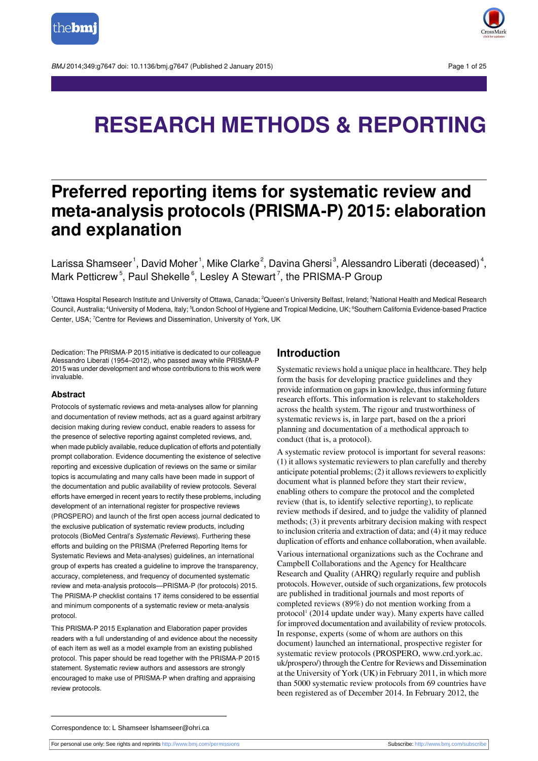

BMJ 2014:349:g7647 doi: 10.1136/bmi.g7647 (Published 2 January 2015) Page 1 of 25



# **RESEARCH METHODS & REPORTING**

# **Preferred reporting items for systematic review and meta-analysis protocols (PRISMA-P) 2015: elaboration and explanation**

Larissa Shamseer $^{\text{\tiny 1}},$  David Moher $^{\text{\tiny 1}},$  Mike Clarke $^{\text{\tiny 2}},$  Davina Ghersi $^{\text{\tiny 3}},$  Alessandro Liberati (deceased) $^{\text{\tiny 4}},$ Mark Petticrew<sup>5</sup>, Paul Shekelle<sup>6</sup>, Lesley A Stewart<sup>7</sup>, the PRISMA-P Group

<sup>1</sup>Ottawa Hospital Research Institute and University of Ottawa, Canada; <sup>2</sup>Queen's University Belfast, Ireland; <sup>3</sup>National Health and Medical Research Council, Australia; <sup>4</sup>University of Modena, Italy; <sup>5</sup>London School of Hygiene and Tropical Medicine, UK; <sup>6</sup>Southern California Evidence-based Practice Center, USA; <sup>7</sup>Centre for Reviews and Dissemination, University of York, UK

Dedication: The PRISMA-P 2015 initiative is dedicated to our colleague Alessandro Liberati (1954–2012), who passed away while PRISMA-P 2015 was under development and whose contributions to this work were invaluable.

#### **Abstract**

Protocols of systematic reviews and meta-analyses allow for planning and documentation of review methods, act as a guard against arbitrary decision making during review conduct, enable readers to assess for the presence of selective reporting against completed reviews, and, when made publicly available, reduce duplication of efforts and potentially prompt collaboration. Evidence documenting the existence of selective reporting and excessive duplication of reviews on the same or similar topics is accumulating and many calls have been made in support of the documentation and public availability of review protocols. Several efforts have emerged in recent years to rectify these problems, including development of an international register for prospective reviews (PROSPERO) and launch of the first open access journal dedicated to the exclusive publication of systematic review products, including protocols (BioMed Central's Systematic Reviews). Furthering these efforts and building on the PRISMA (Preferred Reporting Items for Systematic Reviews and Meta-analyses) guidelines, an international group of experts has created a guideline to improve the transparency, accuracy, completeness, and frequency of documented systematic review and meta-analysis protocols—PRISMA-P (for protocols) 2015. The PRISMA-P checklist contains 17 items considered to be essential and minimum components of a systematic review or meta-analysis protocol.

This PRISMA-P 2015 Explanation and Elaboration paper provides readers with a full understanding of and evidence about the necessity of each item as well as a model example from an existing published protocol. This paper should be read together with the PRISMA-P 2015 statement. Systematic review authors and assessors are strongly encouraged to make use of PRISMA-P when drafting and appraising review protocols.

# **Introduction**

Systematic reviews hold a unique place in healthcare. They help form the basis for developing practice guidelines and they provide information on gaps in knowledge, thus informing future research efforts. This information is relevant to stakeholders across the health system. The rigour and trustworthiness of systematic reviews is, in large part, based on the a priori planning and documentation of a methodical approach to conduct (that is, a protocol).

A systematic review protocol is important for several reasons: (1) it allows systematic reviewers to plan carefully and thereby anticipate potential problems;  $(2)$  it allows reviewers to explicitly document what is planned before they start their review, enabling others to compare the protocol and the completed review (that is, to identify selective reporting), to replicate review methods if desired, and to judge the validity of planned methods; (3) it prevents arbitrary decision making with respect to inclusion criteria and extraction of data; and (4) it may reduce duplication of efforts and enhance collaboration, when available.

Various international organizations such as the Cochrane and Campbell Collaborations and the Agency for Healthcare Research and Quality (AHRQ) regularly require and publish protocols. However, outside of such organizations, few protocols are published in traditional journals and most reports of completed reviews (89%) do not mention working from a protocol<sup>1</sup> (2014 update under way). Many experts have called for improved documentation and availability of review protocols. In response, experts (some of whom are authors on this document) launched an international, prospective register for systematic review protocols (PROSPERO, [www.crd.york.ac.](http://www.crd.york.ac.uk/prospero/) [uk/prospero/](http://www.crd.york.ac.uk/prospero/)) through the Centre for Reviews and Dissemination at the University of York (UK) in February 2011, in which more than 5000 systematic review protocols from 69 countries have been registered as of December 2014. In February 2012, the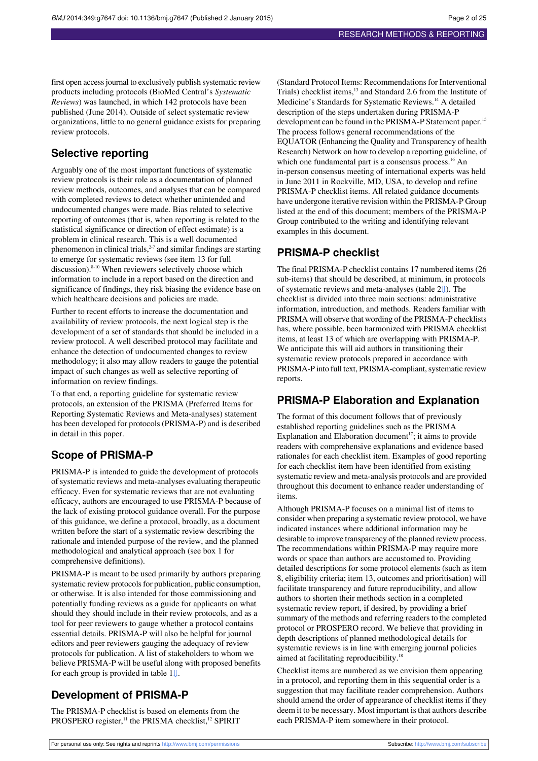first open accessjournal to exclusively publish systematic review products including protocols (BioMed Central's *Systematic Reviews*) was launched, in which 142 protocols have been published (June 2014). Outside of select systematic review organizations, little to no general guidance exists for preparing review protocols.

# **Selective reporting**

Arguably one of the most important functions of systematic review protocols is their role as a documentation of planned review methods, outcomes, and analyses that can be compared with completed reviews to detect whether unintended and undocumented changes were made. Bias related to selective reporting of outcomes (that is, when reporting is related to the statistical significance or direction of effect estimate) is a problem in clinical research. This is a well documented phenomenon in clinical trials, $2-7$  and similar findings are starting to emerge for systematic reviews (see item 13 for full discussion). $8-10$  When reviewers selectively choose which information to include in a report based on the direction and significance of findings, they risk biasing the evidence base on which healthcare decisions and policies are made.

Further to recent efforts to increase the documentation and availability of review protocols, the next logical step is the development of a set of standards that should be included in a review protocol. A well described protocol may facilitate and enhance the detection of undocumented changes to review methodology; it also may allow readers to gauge the potential impact of such changes as well as selective reporting of information on review findings.

To that end, a reporting guideline for systematic review protocols, an extension of the PRISMA (Preferred Items for Reporting Systematic Reviews and Meta-analyses) statement has been developed for protocols(PRISMA-P) and is described in detail in this paper.

# **Scope of PRISMA-P**

PRISMA-P is intended to guide the development of protocols of systematic reviews and meta-analyses evaluating therapeutic efficacy. Even for systematic reviews that are not evaluating efficacy, authors are encouraged to use PRISMA-P because of the lack of existing protocol guidance overall. For the purpose of this guidance, we define a protocol, broadly, as a document written before the start of a systematic review describing the rationale and intended purpose of the review, and the planned methodological and analytical approach (see box 1 for comprehensive definitions).

PRISMA-P is meant to be used primarily by authors preparing systematic review protocols for publication, public consumption, or otherwise. It is also intended for those commissioning and potentially funding reviews as a guide for applicants on what should they should include in their review protocols, and as a tool for peer reviewers to gauge whether a protocol contains essential details. PRISMA-P will also be helpful for journal editors and peer reviewers gauging the adequacy of review protocols for publication. A list of stakeholders to whom we believe PRISMA-P will be useful along with proposed benefits for each group is provided in table 1[⇓.](#page-22-0)

### **Development of PRISMA-P**

The PRISMA-P checklist is based on elements from the PROSPERO register,<sup>11</sup> the PRISMA checklist,<sup>12</sup> SPIRIT

(Standard Protocol Items: Recommendations for Interventional Trials) checklist items,<sup>13</sup> and Standard 2.6 from the Institute of Medicine's Standards for Systematic Reviews.<sup>14</sup> A detailed description of the steps undertaken during PRISMA-P development can be found in the PRISMA-P Statement paper.<sup>15</sup> The process follows general recommendations of the EQUATOR (Enhancing the Quality and Transparency of health Research) Network on how to develop a reporting guideline, of which one fundamental part is a consensus process.<sup>16</sup> An in-person consensus meeting of international experts was held in June 2011 in Rockville, MD, USA, to develop and refine PRISMA-P checklist items. All related guidance documents have undergone iterative revision within the PRISMA-P Group listed at the end of this document; members of the PRISMA-P Group contributed to the writing and identifying relevant examples in this document.

# **PRISMA-P checklist**

The final PRISMA-P checklist contains 17 numbered items(26 sub-items) that should be described, at minimum, in protocols of systematic reviews and meta-analyses (table [2⇓\)](#page-23-0). The checklist is divided into three main sections: administrative information, introduction, and methods. Readers familiar with PRISMA will observe that wording of the PRISMA-P checklists has, where possible, been harmonized with PRISMA checklist items, at least 13 of which are overlapping with PRISMA-P. We anticipate this will aid authors in transitioning their systematic review protocols prepared in accordance with PRISMA-P into full text, PRISMA-compliant, systematic review reports.

# **PRISMA-P Elaboration and Explanation**

The format of this document follows that of previously established reporting guidelines such as the PRISMA Explanation and Elaboration document<sup>17</sup>; it aims to provide readers with comprehensive explanations and evidence based rationales for each checklist item. Examples of good reporting for each checklist item have been identified from existing systematic review and meta-analysis protocols and are provided throughout this document to enhance reader understanding of items.

Although PRISMA-P focuses on a minimal list of items to consider when preparing a systematic review protocol, we have indicated instances where additional information may be desirable to improve transparency of the planned review process. The recommendations within PRISMA-P may require more words or space than authors are accustomed to. Providing detailed descriptions for some protocol elements (such as item 8, eligibility criteria; item 13, outcomes and prioritisation) will facilitate transparency and future reproducibility, and allow authors to shorten their methods section in a completed systematic review report, if desired, by providing a brief summary of the methods and referring readers to the completed protocol or PROSPERO record. We believe that providing in depth descriptions of planned methodological details for systematic reviews is in line with emerging journal policies aimed at facilitating reproducibility.<sup>18</sup>

Checklist items are numbered as we envision them appearing in a protocol, and reporting them in this sequential order is a suggestion that may facilitate reader comprehension. Authors should amend the order of appearance of checklist items if they deem it to be necessary. Most important is that authors describe each PRISMA-P item somewhere in their protocol.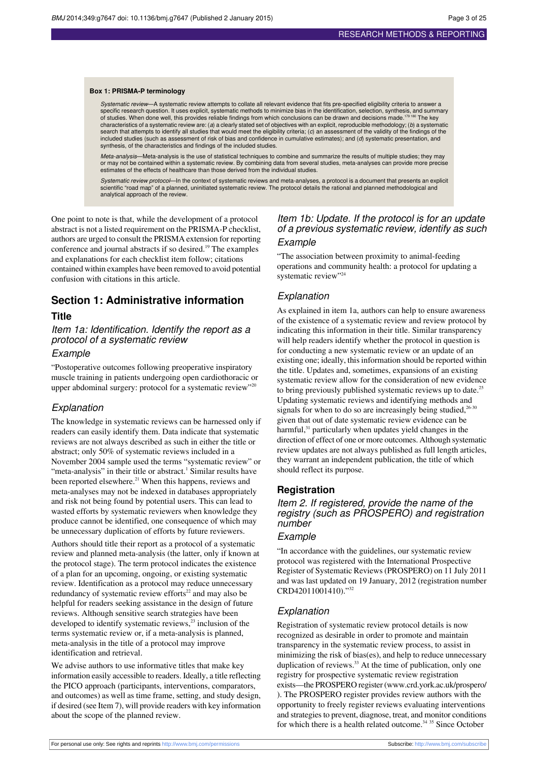#### **Box 1: PRISMA-P terminology**

Systematic review—A systematic review attempts to collate all relevant evidence that fits pre-specified eligibility criteria to answer a specific research question. It uses explicit, systematic methods to minimize bias in the identification, selection, synthesis, and summary<br>of studies. When done well, this provides reliable findings from which conclusions search that attempts to identify all studies that would meet the eligibility criteria; (c) an assessment of the validity of the findings of the included studies (such as assessment of risk of bias and confidence in cumulative estimates); and (d) systematic presentation, and synthesis, of the characteristics and findings of the included studies.

Meta-analysis—Meta-analysis is the use of statistical techniques to combine and summarize the results of multiple studies; they may or may not be contained within a systematic review. By combining data from several studies, meta-analyses can provide more precise<br>estimates of the effects of healthcare than those derived from the individual studies.

Systematic review protocol—In the context of systematic reviews and meta-analyses, a protocol is a document that presents an explicit scientific "road map" of a planned, uninitiated systematic review. The protocol details the rational and planned methodological and analytical approach of the review.

One point to note is that, while the development of a protocol abstract is not a listed requirement on the PRISMA-P checklist, authors are urged to consult the PRISMA extension for reporting conference and journal abstracts if so desired.<sup>19</sup> The examples and explanations for each checklist item follow; citations contained within examples have been removed to avoid potential confusion with citations in this article.

# **Section 1: Administrative information**

#### **Title**

Item 1a: Identification. Identify the report as a protocol of a systematic review

#### Example

"Postoperative outcomes following preoperative inspiratory muscle training in patients undergoing open cardiothoracic or upper abdominal surgery: protocol for a systematic review"<sup>20</sup>

#### Explanation

The knowledge in systematic reviews can be harnessed only if readers can easily identify them. Data indicate that systematic reviews are not always described as such in either the title or abstract; only 50% of systematic reviews included in a November 2004 sample used the terms "systematic review" or "meta-analysis" in their title or abstract.<sup>1</sup> Similar results have been reported elsewhere.<sup>21</sup> When this happens, reviews and meta-analyses may not be indexed in databases appropriately and risk not being found by potential users. This can lead to wasted efforts by systematic reviewers when knowledge they produce cannot be identified, one consequence of which may be unnecessary duplication of efforts by future reviewers.

Authors should title their report as a protocol of a systematic review and planned meta-analysis (the latter, only if known at the protocol stage). The term protocol indicates the existence of a plan for an upcoming, ongoing, or existing systematic review. Identification as a protocol may reduce unnecessary redundancy of systematic review efforts<sup>22</sup> and may also be helpful for readers seeking assistance in the design of future reviews. Although sensitive search strategies have been developed to identify systematic reviews,<sup>23</sup> inclusion of the terms systematic review or, if a meta-analysis is planned, meta-analysis in the title of a protocol may improve identification and retrieval.

We advise authors to use informative titles that make key information easily accessible to readers. Ideally, a title reflecting the PICO approach (participants, interventions, comparators, and outcomes) as well as time frame, setting, and study design, if desired (see Item 7), will provide readers with key information about the scope of the planned review.

#### Item 1b: Update. If the protocol is for an update of a previous systematic review, identify as such Example

"The association between proximity to animal-feeding operations and community health: a protocol for updating a systematic review"24

### Explanation

As explained in item 1a, authors can help to ensure awareness of the existence of a systematic review and review protocol by indicating this information in their title. Similar transparency will help readers identify whether the protocol in question is for conducting a new systematic review or an update of an existing one; ideally, this information should be reported within the title. Updates and, sometimes, expansions of an existing systematic review allow for the consideration of new evidence to bring previously published systematic reviews up to date.<sup>25</sup> Updating systematic reviews and identifying methods and signals for when to do so are increasingly being studied, $26-30$ given that out of date systematic review evidence can be harmful,<sup>31</sup> particularly when updates yield changes in the direction of effect of one or more outcomes. Although systematic review updates are not always published as full length articles, they warrant an independent publication, the title of which should reflect its purpose.

### **Registration**

Item 2. If registered, provide the name of the registry (such as PROSPERO) and registration number

#### **Example**

"In accordance with the guidelines, our systematic review protocol was registered with the International Prospective Register of Systematic Reviews(PROSPERO) on 11 July 2011 and was last updated on 19 January, 2012 (registration number CRD42011001410)."<sup>32</sup>

#### Explanation

Registration of systematic review protocol details is now recognized as desirable in order to promote and maintain transparency in the systematic review process, to assist in minimizing the risk of bias(es), and help to reduce unnecessary duplication of reviews.<sup>33</sup> At the time of publication, only one registry for prospective systematic review registration exists—the PROSPERO register [\(www.crd.york.ac.uk/prospero/](http://www.crd.york.ac.uk/prospero/) ). The PROSPERO register provides review authors with the opportunity to freely register reviews evaluating interventions and strategies to prevent, diagnose, treat, and monitor conditions for which there is a health related outcome.<sup>34 35</sup> Since October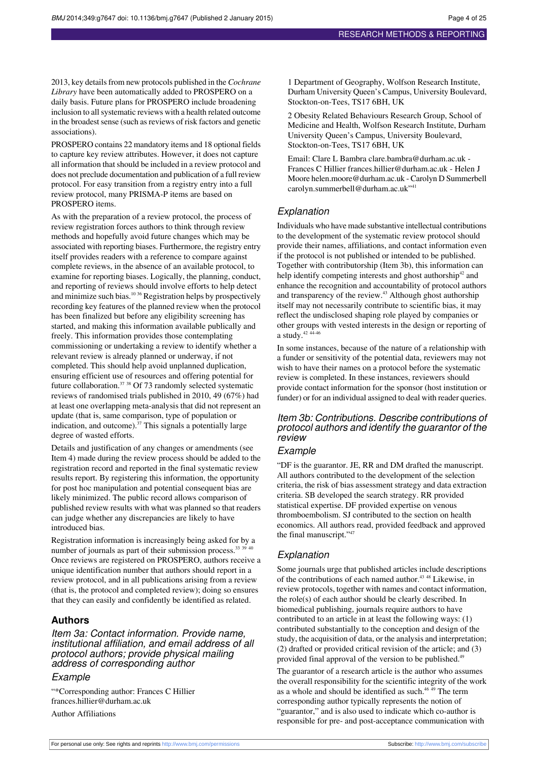2013, key details from new protocols published in the *Cochrane Library* have been automatically added to PROSPERO on a daily basis. Future plans for PROSPERO include broadening inclusion to all systematic reviews with a health related outcome in the broadest sense (such as reviews of risk factors and genetic associations).

PROSPERO contains 22 mandatory items and 18 optional fields to capture key review attributes. However, it does not capture all information thatshould be included in a review protocol and does not preclude documentation and publication of a full review protocol. For easy transition from a registry entry into a full review protocol, many PRISMA-P items are based on PROSPERO items.

As with the preparation of a review protocol, the process of review registration forces authors to think through review methods and hopefully avoid future changes which may be associated with reporting biases. Furthermore, the registry entry itself provides readers with a reference to compare against complete reviews, in the absence of an available protocol, to examine for reporting biases. Logically, the planning, conduct, and reporting of reviews should involve efforts to help detect and minimize such bias. $10^{36}$  Registration helps by prospectively recording key features of the planned review when the protocol has been finalized but before any eligibility screening has started, and making this information available publically and freely. This information provides those contemplating commissioning or undertaking a review to identify whether a relevant review is already planned or underway, if not completed. This should help avoid unplanned duplication, ensuring efficient use of resources and offering potential for future collaboration.<sup>37</sup> <sup>38</sup> Of 73 randomly selected systematic reviews of randomised trials published in 2010, 49 (67%) had at least one overlapping meta-analysis that did not represent an update (that is, same comparison, type of population or indication, and outcome). $37$  This signals a potentially large degree of wasted efforts.

Details and justification of any changes or amendments (see Item 4) made during the review process should be added to the registration record and reported in the final systematic review results report. By registering this information, the opportunity for post hoc manipulation and potential consequent bias are likely minimized. The public record allows comparison of published review results with what was planned so that readers can judge whether any discrepancies are likely to have introduced bias.

Registration information is increasingly being asked for by a number of journals as part of their submission process. $33\frac{39}{40}$ Once reviews are registered on PROSPERO, authors receive a unique identification number that authors should report in a review protocol, and in all publications arising from a review (that is, the protocol and completed review); doing so ensures that they can easily and confidently be identified as related.

#### **Authors**

Item 3a: Contact information. Provide name, institutional affiliation, and email address of all protocol authors; provide physical mailing address of corresponding author

#### Example

"\*Corresponding author: Frances C Hillier frances.hillier@durham.ac.uk

Author Affiliations

1 Department of Geography, Wolfson Research Institute, Durham University Queen's Campus, University Boulevard, Stockton-on-Tees, TS17 6BH, UK

2 Obesity Related Behaviours Research Group, School of Medicine and Health, Wolfson Research Institute, Durham University Queen's Campus, University Boulevard, Stockton-on-Tees, TS17 6BH, UK

Email: Clare L Bambra clare.bambra@durham.ac.uk - Frances C Hillier frances.hillier@durham.ac.uk - Helen J Moore helen.moore@durham.ac.uk - Carolyn D Summerbell carolyn.summerbell@durham.ac.uk"<sup>41</sup>

#### Explanation

Individuals who have made substantive intellectual contributions to the development of the systematic review protocol should provide their names, affiliations, and contact information even if the protocol is not published or intended to be published. Together with contributorship (Item 3b), this information can help identify competing interests and ghost authorship<sup>42</sup> and enhance the recognition and accountability of protocol authors and transparency of the review.<sup>43</sup> Although ghost authorship itself may not necessarily contribute to scientific bias, it may reflect the undisclosed shaping role played by companies or other groups with vested interests in the design or reporting of a study. $42\overline{44-46}$ 

In some instances, because of the nature of a relationship with a funder or sensitivity of the potential data, reviewers may not wish to have their names on a protocol before the systematic review is completed. In these instances, reviewers should provide contact information for the sponsor (host institution or funder) or for an individual assigned to deal with reader queries.

#### Item 3b: Contributions. Describe contributions of protocol authors and identify the guarantor of the review

#### Example

"DF is the guarantor. JE, RR and DM drafted the manuscript. All authors contributed to the development of the selection criteria, the risk of bias assessment strategy and data extraction criteria. SB developed the search strategy. RR provided statistical expertise. DF provided expertise on venous thromboembolism. SJ contributed to the section on health economics. All authors read, provided feedback and approved the final manuscript."<sup>47</sup>

#### Explanation

Some journals urge that published articles include descriptions of the contributions of each named author.<sup>43 48</sup> Likewise, in review protocols, together with names and contact information, the role(s) of each author should be clearly described. In biomedical publishing, journals require authors to have contributed to an article in at least the following ways: (1) contributed substantially to the conception and design of the study, the acquisition of data, or the analysis and interpretation; (2) drafted or provided critical revision of the article; and (3) provided final approval of the version to be published.<sup>49</sup>

The guarantor of a research article is the author who assumes the overall responsibility for the scientific integrity of the work as a whole and should be identified as such.<sup>46 49</sup> The term corresponding author typically represents the notion of "guarantor," and is also used to indicate which co-author is responsible for pre- and post-acceptance communication with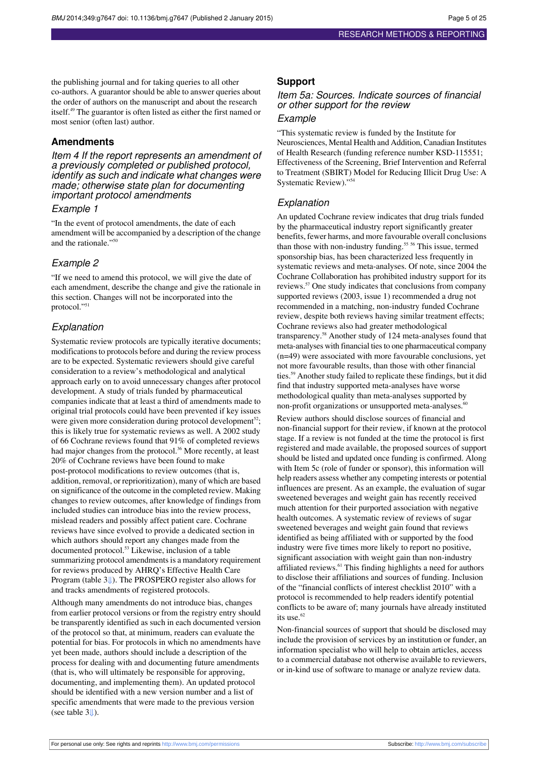the publishing journal and for taking queries to all other co-authors. A guarantor should be able to answer queries about the order of authors on the manuscript and about the research itself.<sup>49</sup> The guarantor is often listed as either the first named or most senior (often last) author.

#### **Amendments**

Item 4 If the report represents an amendment of a previously completed or published protocol, identify as such and indicate what changes were made; otherwise state plan for documenting important protocol amendments

#### Example 1

"In the event of protocol amendments, the date of each amendment will be accompanied by a description of the change and the rationale."<sup>50</sup>

### Example 2

"If we need to amend this protocol, we will give the date of each amendment, describe the change and give the rationale in this section. Changes will not be incorporated into the protocol."<sup>51</sup>

#### Explanation

Systematic review protocols are typically iterative documents; modifications to protocols before and during the review process are to be expected. Systematic reviewers should give careful consideration to a review's methodological and analytical approach early on to avoid unnecessary changes after protocol development. A study of trials funded by pharmaceutical companies indicate that at least a third of amendments made to original trial protocols could have been prevented if key issues were given more consideration during protocol development<sup>52</sup>; this is likely true for systematic reviews as well. A 2002 study of 66 Cochrane reviews found that 91% of completed reviews had major changes from the protocol.<sup>36</sup> More recently, at least 20% of Cochrane reviews have been found to make post-protocol modifications to review outcomes (that is, addition, removal, or reprioritization), many of which are based on significance of the outcome in the completed review. Making changes to review outcomes, after knowledge of findings from included studies can introduce bias into the review process, mislead readers and possibly affect patient care. Cochrane reviews have since evolved to provide a dedicated section in which authors should report any changes made from the documented protocol.<sup>53</sup> Likewise, inclusion of a table summarizing protocol amendments is a mandatory requirement for reviews produced by AHRQ's Effective Health Care Program (table [3⇓](#page-24-0)). The PROSPERO register also allows for and tracks amendments of registered protocols.

Although many amendments do not introduce bias, changes from earlier protocol versions or from the registry entry should be transparently identified as such in each documented version of the protocol so that, at minimum, readers can evaluate the potential for bias. For protocols in which no amendments have yet been made, authors should include a description of the process for dealing with and documenting future amendments (that is, who will ultimately be responsible for approving, documenting, and implementing them). An updated protocol should be identified with a new version number and a list of specific amendments that were made to the previous version (see table [3⇓](#page-24-0)).

#### **Support**

Item 5a: Sources. Indicate sources of financial or other support for the review

#### Example

"This systematic review is funded by the Institute for Neurosciences, Mental Health and Addition, Canadian Institutes of Health Research (funding reference number KSD-115551; Effectiveness of the Screening, Brief Intervention and Referral to Treatment (SBIRT) Model for Reducing Illicit Drug Use: A Systematic Review)."<sup>54</sup>

#### Explanation

its use.<sup>62</sup>

An updated Cochrane review indicates that drug trials funded by the pharmaceutical industry report significantly greater benefits, fewer harms, and more favourable overall conclusions than those with non-industry funding.<sup>55 56</sup> This issue, termed sponsorship bias, has been characterized less frequently in systematic reviews and meta-analyses. Of note, since 2004 the Cochrane Collaboration has prohibited industry support for its reviews.<sup>57</sup> One study indicates that conclusions from company supported reviews (2003, issue 1) recommended a drug not recommended in a matching, non-industry funded Cochrane review, despite both reviews having similar treatment effects; Cochrane reviews also had greater methodological transparency.<sup>58</sup> Another study of 124 meta-analyses found that meta-analyses with financial tiesto one pharmaceutical company (n=49) were associated with more favourable conclusions, yet not more favourable results, than those with other financial ties.<sup>59</sup> Another study failed to replicate these findings, but it did find that industry supported meta-analyses have worse methodological quality than meta-analyses supported by non-profit organizations or unsupported meta-analyses.<sup>6</sup> Review authors should disclose sources of financial and non-financial support for their review, if known at the protocol stage. If a review is not funded at the time the protocol is first registered and made available, the proposed sources of support should be listed and updated once funding is confirmed. Along with Item 5c (role of funder or sponsor), this information will help readers assess whether any competing interests or potential influences are present. As an example, the evaluation of sugar

Non-financial sources of support that should be disclosed may include the provision of services by an institution or funder, an information specialist who will help to obtain articles, access to a commercial database not otherwise available to reviewers, or in-kind use of software to manage or analyze review data.

sweetened beverages and weight gain has recently received much attention for their purported association with negative health outcomes. A systematic review of reviews of sugar sweetened beverages and weight gain found that reviews identified as being affiliated with or supported by the food industry were five times more likely to report no positive, significant association with weight gain than non-industry affiliated reviews.<sup>61</sup> This finding highlights a need for authors to disclose their affiliations and sources of funding. Inclusion of the "financial conflicts of interest checklist 2010" with a protocol is recommended to help readers identify potential conflicts to be aware of; many journals have already instituted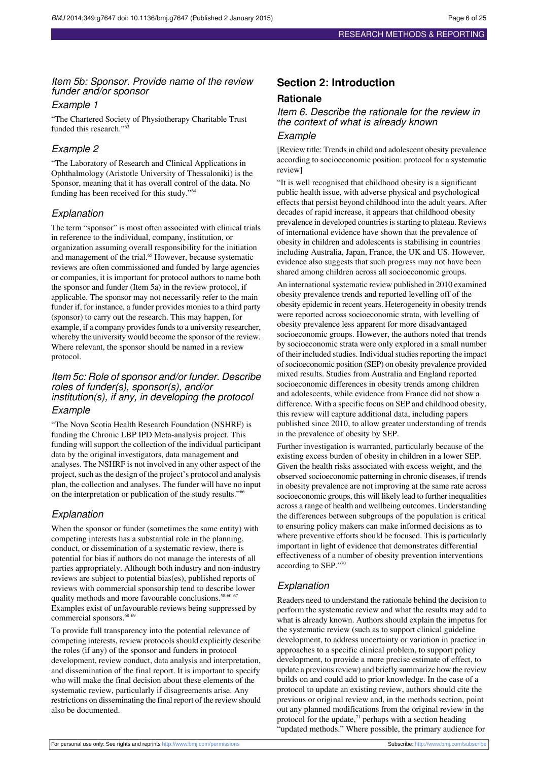# Item 5b: Sponsor. Provide name of the review funder and/or sponsor

#### Example 1

"The Chartered Society of Physiotherapy Charitable Trust funded this research."<sup>63</sup>

## Example 2

"The Laboratory of Research and Clinical Applications in Ophthalmology (Aristotle University of Thessaloniki) is the Sponsor, meaning that it has overall control of the data. No funding has been received for this study."<sup>6</sup>

# Explanation

The term "sponsor" is most often associated with clinical trials in reference to the individual, company, institution, or organization assuming overall responsibility for the initiation and management of the trial.<sup>65</sup> However, because systematic reviews are often commissioned and funded by large agencies or companies, it is important for protocol authors to name both the sponsor and funder (Item 5a) in the review protocol, if applicable. The sponsor may not necessarily refer to the main funder if, for instance, a funder provides monies to a third party (sponsor) to carry out the research. This may happen, for example, if a company provides funds to a university researcher, whereby the university would become the sponsor of the review. Where relevant, the sponsor should be named in a review protocol.

# Item 5c: Role of sponsor and/or funder. Describe roles of funder(s), sponsor(s), and/or institution(s), if any, in developing the protocol

# Example

"The Nova Scotia Health Research Foundation (NSHRF) is funding the Chronic LBP IPD Meta-analysis project. This funding will support the collection of the individual participant data by the original investigators, data management and analyses. The NSHRF is not involved in any other aspect of the project, such as the design of the project's protocol and analysis plan, the collection and analyses. The funder will have no input on the interpretation or publication of the study results."<sup>66</sup>

### Explanation

When the sponsor or funder (sometimes the same entity) with competing interests has a substantial role in the planning, conduct, or dissemination of a systematic review, there is potential for bias if authors do not manage the interests of all parties appropriately. Although both industry and non-industry reviews are subject to potential bias(es), published reports of reviews with commercial sponsorship tend to describe lower quality methods and more favourable conclusions.<sup>58-60 67</sup> Examples exist of unfavourable reviews being suppressed by commercial sponsors.<sup>68 69</sup>

To provide full transparency into the potential relevance of competing interests, review protocols should explicitly describe the roles (if any) of the sponsor and funders in protocol development, review conduct, data analysis and interpretation, and dissemination of the final report. It is important to specify who will make the final decision about these elements of the systematic review, particularly if disagreements arise. Any restrictions on disseminating the final report of the review should also be documented.

# **Section 2: Introduction**

# **Rationale**

# Item 6. Describe the rationale for the review in the context of what is already known

#### Example

[Review title: Trendsin child and adolescent obesity prevalence according to socioeconomic position: protocol for a systematic review]

"It is well recognised that childhood obesity is a significant public health issue, with adverse physical and psychological effects that persist beyond childhood into the adult years. After decades of rapid increase, it appears that childhood obesity prevalence in developed countries is starting to plateau. Reviews of international evidence have shown that the prevalence of obesity in children and adolescents is stabilising in countries including Australia, Japan, France, the UK and US. However, evidence also suggests that such progress may not have been shared among children across all socioeconomic groups.

An international systematic review published in 2010 examined obesity prevalence trends and reported levelling off of the obesity epidemic in recent years. Heterogeneity in obesity trends were reported across socioeconomic strata, with levelling of obesity prevalence less apparent for more disadvantaged socioeconomic groups. However, the authors noted that trends by socioeconomic strata were only explored in a small number of their included studies. Individual studies reporting the impact ofsocioeconomic position (SEP) on obesity prevalence provided mixed results. Studies from Australia and England reported socioeconomic differences in obesity trends among children and adolescents, while evidence from France did not show a difference. With a specific focus on SEP and childhood obesity, this review will capture additional data, including papers published since 2010, to allow greater understanding of trends in the prevalence of obesity by SEP.

Further investigation is warranted, particularly because of the existing excess burden of obesity in children in a lower SEP. Given the health risks associated with excess weight, and the observed socioeconomic patterning in chronic diseases, if trends in obesity prevalence are not improving at the same rate across socioeconomic groups, this will likely lead to further inequalities across a range of health and wellbeing outcomes. Understanding the differences between subgroups of the population is critical to ensuring policy makers can make informed decisions as to where preventive efforts should be focused. This is particularly important in light of evidence that demonstrates differential effectiveness of a number of obesity prevention interventions according to SEP."<sup>70</sup>

### Explanation

Readers need to understand the rationale behind the decision to perform the systematic review and what the results may add to what is already known. Authors should explain the impetus for the systematic review (such as to support clinical guideline development, to address uncertainty or variation in practice in approaches to a specific clinical problem, to support policy development, to provide a more precise estimate of effect, to update a previous review) and briefly summarize how the review builds on and could add to prior knowledge. In the case of a protocol to update an existing review, authors should cite the previous or original review and, in the methods section, point out any planned modifications from the original review in the protocol for the update, $71$  perhaps with a section heading "updated methods." Where possible, the primary audience for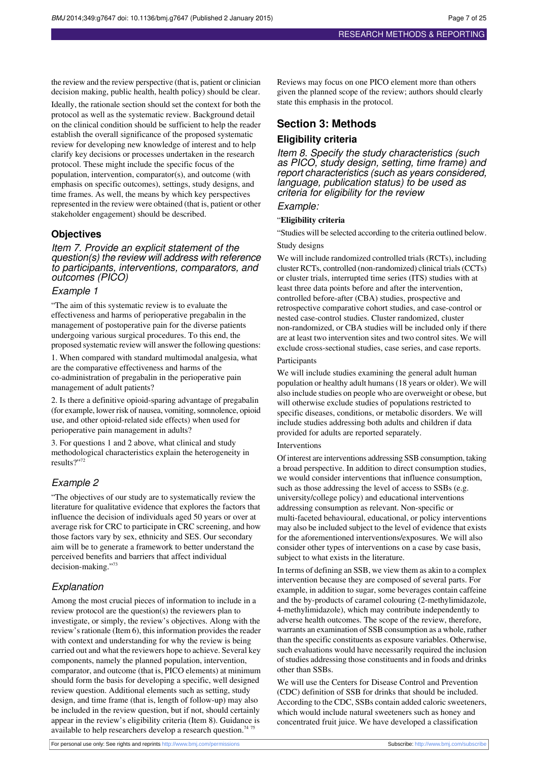the review and the review perspective (that is, patient or clinician decision making, public health, health policy) should be clear.

Ideally, the rationale section should set the context for both the protocol as well as the systematic review. Background detail on the clinical condition should be sufficient to help the reader establish the overall significance of the proposed systematic review for developing new knowledge of interest and to help clarify key decisions or processes undertaken in the research protocol. These might include the specific focus of the population, intervention, comparator(s), and outcome (with emphasis on specific outcomes), settings, study designs, and time frames. As well, the means by which key perspectives represented in the review were obtained (that is, patient or other stakeholder engagement) should be described.

#### **Objectives**

Item 7. Provide an explicit statement of the question(s) the review will address with reference to participants, interventions, comparators, and outcomes (PICO)

#### Example 1

"The aim of this systematic review is to evaluate the effectiveness and harms of perioperative pregabalin in the management of postoperative pain for the diverse patients undergoing various surgical procedures. To this end, the proposed systematic review will answer the following questions:

1. When compared with standard multimodal analgesia, what are the comparative effectiveness and harms of the co-administration of pregabalin in the perioperative pain management of adult patients?

2. Is there a definitive opioid-sparing advantage of pregabalin (for example, lower risk of nausea, vomiting, somnolence, opioid use, and other opioid-related side effects) when used for perioperative pain management in adults?

3. For questions 1 and 2 above, what clinical and study methodological characteristics explain the heterogeneity in results?" $^{72}$ 

### Example 2

"The objectives of our study are to systematically review the literature for qualitative evidence that explores the factors that influence the decision of individuals aged 50 years or over at average risk for CRC to participate in CRC screening, and how those factors vary by sex, ethnicity and SES. Our secondary aim will be to generate a framework to better understand the perceived benefits and barriers that affect individual decision-making."<sup>73</sup>

#### **Explanation**

Among the most crucial pieces of information to include in a review protocol are the question(s) the reviewers plan to investigate, or simply, the review's objectives. Along with the review's rationale (Item 6), this information provides the reader with context and understanding for why the review is being carried out and what the reviewers hope to achieve. Several key components, namely the planned population, intervention, comparator, and outcome (that is, PICO elements) at minimum should form the basis for developing a specific, well designed review question. Additional elements such as setting, study design, and time frame (that is, length of follow-up) may also be included in the review question, but if not, should certainly appear in the review's eligibility criteria (Item 8). Guidance is available to help researchers develop a research question.<sup>74 75</sup>

Reviews may focus on one PICO element more than others given the planned scope of the review; authors should clearly state this emphasis in the protocol.

## **Section 3: Methods**

#### **Eligibility criteria**

Item 8. Specify the study characteristics (such as PICO, study design, setting, time frame) and report characteristics (such as years considered, language, publication status) to be used as criteria for eligibility for the review

# Example:

#### "**Eligibility criteria**

"Studies will be selected according to the criteria outlined below.

#### Study designs

We will include randomized controlled trials (RCTs), including cluster RCTs, controlled (non-randomized) clinical trials(CCTs) or cluster trials, interrupted time series (ITS) studies with at least three data points before and after the intervention, controlled before-after (CBA) studies, prospective and retrospective comparative cohort studies, and case-control or nested case-control studies. Cluster randomized, cluster non-randomized, or CBA studies will be included only if there are at least two intervention sites and two control sites. We will exclude cross-sectional studies, case series, and case reports.

#### **Participants**

We will include studies examining the general adult human population or healthy adult humans(18 years or older). We will also include studies on people who are overweight or obese, but will otherwise exclude studies of populations restricted to specific diseases, conditions, or metabolic disorders. We will include studies addressing both adults and children if data provided for adults are reported separately.

#### Interventions

Of interest are interventions addressing SSB consumption, taking a broad perspective. In addition to direct consumption studies, we would consider interventions that influence consumption, such as those addressing the level of access to SSBs (e.g. university/college policy) and educational interventions addressing consumption as relevant. Non-specific or multi-faceted behavioural, educational, or policy interventions may also be included subject to the level of evidence that exists for the aforementioned interventions/exposures. We will also consider other types of interventions on a case by case basis, subject to what exists in the literature.

In terms of defining an SSB, we view them as akin to a complex intervention because they are composed of several parts. For example, in addition to sugar, some beverages contain caffeine and the by-products of caramel colouring (2-methylimidazole, 4-methylimidazole), which may contribute independently to adverse health outcomes. The scope of the review, therefore, warrants an examination of SSB consumption as a whole, rather than the specific constituents as exposure variables. Otherwise, such evaluations would have necessarily required the inclusion of studies addressing those constituents and in foods and drinks other than SSBs.

We will use the Centers for Disease Control and Prevention (CDC) definition of SSB for drinks that should be included. According to the CDC, SSBs contain added caloric sweeteners, which would include natural sweeteners such as honey and concentrated fruit juice. We have developed a classification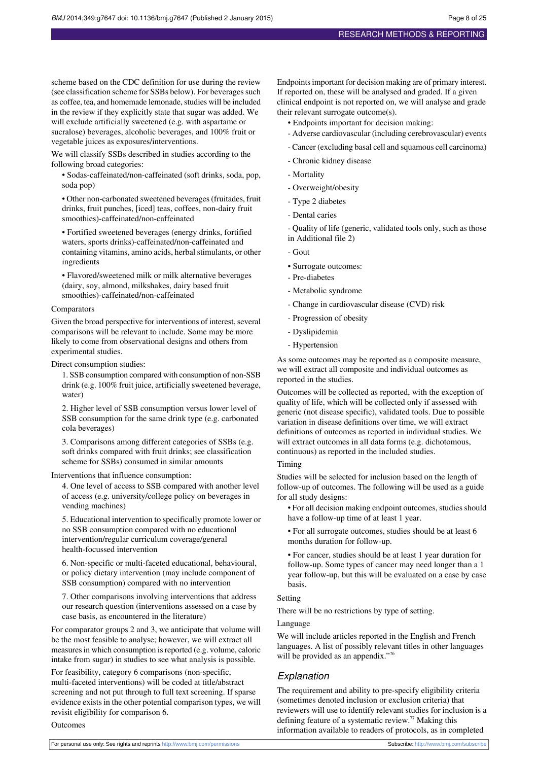scheme based on the CDC definition for use during the review (see classification scheme for SSBs below). For beverages such as coffee, tea, and homemade lemonade, studies will be included in the review if they explicitly state that sugar was added. We will exclude artificially sweetened (e.g. with aspartame or sucralose) beverages, alcoholic beverages, and 100% fruit or vegetable juices as exposures/interventions.

We will classify SSBs described in studies according to the following broad categories:

• Sodas-caffeinated/non-caffeinated (soft drinks, soda, pop, soda pop)

• Other non-carbonated sweetened beverages(fruitades, fruit drinks, fruit punches, [iced] teas, coffees, non-dairy fruit smoothies)-caffeinated/non-caffeinated

• Fortified sweetened beverages (energy drinks, fortified waters, sports drinks)-caffeinated/non-caffeinated and containing vitamins, amino acids, herbal stimulants, or other ingredients

• Flavored/sweetened milk or milk alternative beverages (dairy, soy, almond, milkshakes, dairy based fruit smoothies)-caffeinated/non-caffeinated

#### Comparators

Given the broad perspective for interventions of interest, several comparisons will be relevant to include. Some may be more likely to come from observational designs and others from experimental studies.

Direct consumption studies:

1. SSB consumption compared with consumption of non-SSB drink (e.g. 100% fruit juice, artificially sweetened beverage, water)

2. Higher level of SSB consumption versus lower level of SSB consumption for the same drink type (e.g. carbonated cola beverages)

3. Comparisons among different categories of SSBs (e.g. soft drinks compared with fruit drinks; see classification scheme for SSBs) consumed in similar amounts

#### Interventions that influence consumption:

4. One level of access to SSB compared with another level of access (e.g. university/college policy on beverages in vending machines)

5. Educational intervention to specifically promote lower or no SSB consumption compared with no educational intervention/regular curriculum coverage/general health-focussed intervention

6. Non-specific or multi-faceted educational, behavioural, or policy dietary intervention (may include component of SSB consumption) compared with no intervention

7. Other comparisons involving interventions that address our research question (interventions assessed on a case by case basis, as encountered in the literature)

For comparator groups 2 and 3, we anticipate that volume will be the most feasible to analyse; however, we will extract all measures in which consumption is reported (e.g. volume, caloric intake from sugar) in studies to see what analysis is possible.

For feasibility, category 6 comparisons (non-specific, multi-faceted interventions) will be coded at title/abstract screening and not put through to full text screening. If sparse evidence exists in the other potential comparison types, we will revisit eligibility for comparison 6.

Outcomes

Endpoints important for decision making are of primary interest. If reported on, these will be analysed and graded. If a given clinical endpoint is not reported on, we will analyse and grade their relevant surrogate outcome(s).

- Endpoints important for decision making:
- Adverse cardiovascular (including cerebrovascular) events
- Cancer (excluding basal cell and squamous cell carcinoma)
- Chronic kidney disease
- Mortality
- Overweight/obesity
- Type 2 diabetes
- Dental caries
- Quality of life (generic, validated tools only, such as those in Additional file 2)
- Gout
- Surrogate outcomes:
- Pre-diabetes
- Metabolic syndrome
- Change in cardiovascular disease (CVD) risk
- Progression of obesity
- Dyslipidemia
- Hypertension

As some outcomes may be reported as a composite measure, we will extract all composite and individual outcomes as reported in the studies.

Outcomes will be collected as reported, with the exception of quality of life, which will be collected only if assessed with generic (not disease specific), validated tools. Due to possible variation in disease definitions over time, we will extract definitions of outcomes as reported in individual studies. We will extract outcomes in all data forms (e.g. dichotomous, continuous) as reported in the included studies.

Timing

Studies will be selected for inclusion based on the length of follow-up of outcomes. The following will be used as a guide for all study designs:

- For all decision making endpoint outcomes, studies should have a follow-up time of at least 1 year.
- For all surrogate outcomes, studies should be at least 6 months duration for follow-up.
- For cancer, studies should be at least 1 year duration for follow-up. Some types of cancer may need longer than a 1 year follow-up, but this will be evaluated on a case by case basis.

#### Setting

There will be no restrictions by type of setting.

Language

We will include articles reported in the English and French languages. A list of possibly relevant titles in other languages will be provided as an appendix."<sup>76</sup>

#### Explanation

The requirement and ability to pre-specify eligibility criteria (sometimes denoted inclusion or exclusion criteria) that reviewers will use to identify relevant studies for inclusion is a defining feature of a systematic review.<sup>77</sup> Making this information available to readers of protocols, as in completed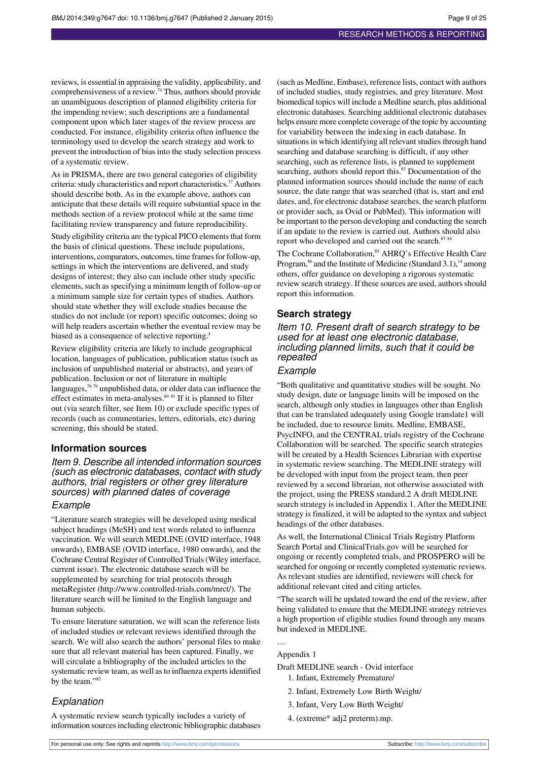reviews, is essential in appraising the validity, applicability, and comprehensiveness of a review.<sup>74</sup> Thus, authors should provide an unambiguous description of planned eligibility criteria for the impending review; such descriptions are a fundamental component upon which later stages of the review process are conducted. For instance, eligibility criteria often influence the terminology used to develop the search strategy and work to prevent the introduction of bias into the study selection process of a systematic review.

As in PRISMA, there are two general categories of eligibility criteria: study characteristics and report characteristics.<sup>17</sup> Authors should describe both. As in the example above, authors can anticipate that these details will require substantial space in the methods section of a review protocol while at the same time facilitating review transparency and future reproducibility.

Study eligibility criteria are the typical PICO elements that form the basis of clinical questions. These include populations, interventions, comparators, outcomes, time frames for follow-up, settings in which the interventions are delivered, and study designs of interest; they also can include other study specific elements, such as specifying a minimum length of follow-up or a minimum sample size for certain types of studies. Authors should state whether they will exclude studies because the studies do not include (or report) specific outcomes; doing so will help readers ascertain whether the eventual review may be biased as a consequence of selective reporting.<sup>4</sup>

Review eligibility criteria are likely to include geographical location, languages of publication, publication status (such as inclusion of unpublished material or abstracts), and years of publication. Inclusion or not of literature in multiple languages,<sup>78</sup> 79</sup> unpublished data, or older data can influence the effect estimates in meta-analyses. $80 81$  If it is planned to filter out (via search filter, see Item 10) or exclude specific types of records (such as commentaries, letters, editorials, etc) during screening, this should be stated.

#### **Information sources**

Item 9. Describe all intended information sources (such as electronic databases, contact with study authors, trial registers or other grey literature sources) with planned dates of coverage

#### Example

"Literature search strategies will be developed using medical subject headings (MeSH) and text words related to influenza vaccination. We will search MEDLINE (OVID interface, 1948 onwards), EMBASE (OVID interface, 1980 onwards), and the Cochrane Central Register of Controlled Trials(Wiley interface, current issue). The electronic database search will be supplemented by searching for trial protocols through metaRegister [\(http://www.controlled-trials.com/mrct/\)](http://www.controlled-trials.com/mrct/). The literature search will be limited to the English language and human subjects.

To ensure literature saturation, we will scan the reference lists of included studies or relevant reviews identified through the search. We will also search the authors' personal files to make sure that all relevant material has been captured. Finally, we will circulate a bibliography of the included articles to the systematic review team, as well as to influenza experts identified by the team."<sup>82</sup>

#### Explanation

A systematic review search typically includes a variety of information sources including electronic bibliographic databases (such as Medline, Embase), reference lists, contact with authors of included studies, study registries, and grey literature. Most biomedical topics will include a Medline search, plus additional electronic databases. Searching additional electronic databases helps ensure more complete coverage of the topic by accounting for variability between the indexing in each database. In situations in which identifying all relevant studies through hand searching and database searching is difficult, if any other searching, such as reference lists, is planned to supplement searching, authors should report this.<sup>83</sup> Documentation of the planned information sources should include the name of each source, the date range that was searched (that is, start and end dates, and, for electronic database searches, the search platform or provider such, as Ovid or PubMed). This information will be important to the person developing and conducting the search if an update to the review is carried out. Authors should also report who developed and carried out the search.<sup>83 84</sup>

The Cochrane Collaboration,<sup>85</sup> AHRQ's Effective Health Care Program, $86$  and the Institute of Medicine (Standard 3.1),  $14$  among others, offer guidance on developing a rigorous systematic review search strategy. If these sources are used, authors should report this information.

#### **Search strategy**

Item 10. Present draft of search strategy to be used for at least one electronic database, including planned limits, such that it could be repeated

#### Example

"Both qualitative and quantitative studies will be sought. No study design, date or language limits will be imposed on the search, although only studies in languages other than English that can be translated adequately using Google translate1 will be included, due to resource limits. Medline, EMBASE, PsycINFO, and the CENTRAL trials registry of the Cochrane Collaboration will be searched. The specific search strategies will be created by a Health Sciences Librarian with expertise in systematic review searching. The MEDLINE strategy will be developed with input from the project team, then peer reviewed by a second librarian, not otherwise associated with the project, using the PRESS standard.2 A draft MEDLINE search strategy is included in Appendix 1. After the MEDLINE strategy is finalized, it will be adapted to the syntax and subject headings of the other databases.

As well, the International Clinical Trials Registry Platform Search Portal and ClinicalTrials.gov will be searched for ongoing or recently completed trials, and PROSPERO will be searched for ongoing or recently completed systematic reviews. As relevant studies are identified, reviewers will check for additional relevant cited and citing articles.

"The search will be updated toward the end of the review, after being validated to ensure that the MEDLINE strategy retrieves a high proportion of eligible studies found through any means but indexed in MEDLINE.

#### … Appendix 1

- Draft MEDLINE search Ovid interface 1. Infant, Extremely Premature/
	-
	- 2. Infant, Extremely Low Birth Weight/
	- 3. Infant, Very Low Birth Weight/
	- 4. (extreme\* adj2 preterm).mp.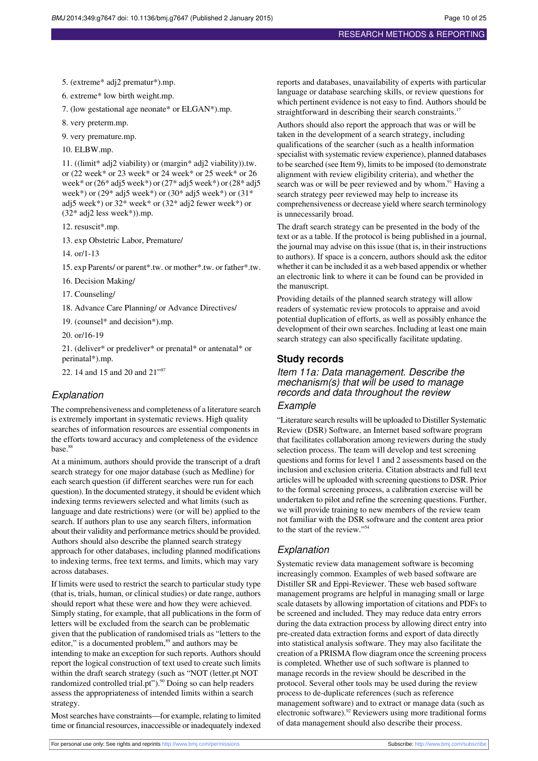5. (extreme\* adj2 prematur\*).mp.

6. extreme\* low birth weight.mp.

7. (low gestational age neonate\* or ELGAN\*).mp.

8. very preterm.mp.

- 9. very premature.mp.
- 10. ELBW.mp.

11. ((limit\* adj2 viability) or (margin\* adj2 viability)).tw. or (22 week\* or 23 week\* or 24 week\* or 25 week\* or 26 week\* or (26\* adj5 week\*) or (27\* adj5 week\*) or (28\* adj5 week\*) or  $(29^* \text{ adj}5 \text{ week})$  or  $(30^* \text{ adj}5 \text{ week})$  or  $(31^*$ adj5 week\*) or 32\* week\* or (32\* adj2 fewer week\*) or  $(32<sup>*</sup> adj2 less week<sup>*</sup>))$ .mp.

12. resuscit\*.mp.

13. exp Obstetric Labor, Premature/

14. or/1-13

15. exp Parents/ or parent\*.tw. or mother\*.tw. or father\*.tw.

16. Decision Making/

17. Counseling/

18. Advance Care Planning/ or Advance Directives/

19. (counsel\* and decision\*).mp.

20. or/16-19

21. (deliver\* or predeliver\* or prenatal\* or antenatal\* or perinatal\*).mp.

22. 14 and 15 and 20 and 21"<sup>87</sup>

#### Explanation

The comprehensiveness and completeness of a literature search is extremely important in systematic reviews. High quality searches of information resources are essential components in the efforts toward accuracy and completeness of the evidence base.<sup>88</sup>

At a minimum, authors should provide the transcript of a draft search strategy for one major database (such as Medline) for each search question (if different searches were run for each question). In the documented strategy, it should be evident which indexing terms reviewers selected and what limits (such as language and date restrictions) were (or will be) applied to the search. If authors plan to use any search filters, information about their validity and performance metrics should be provided. Authors should also describe the planned search strategy approach for other databases, including planned modifications to indexing terms, free text terms, and limits, which may vary across databases.

If limits were used to restrict the search to particular study type (that is, trials, human, or clinical studies) or date range, authors should report what these were and how they were achieved. Simply stating, for example, that all publications in the form of letters will be excluded from the search can be problematic given that the publication of randomised trials as "letters to the editor," is a documented problem,<sup>89</sup> and authors may be intending to make an exception for such reports. Authors should report the logical construction of text used to create such limits within the draft search strategy (such as "NOT (letter.pt NOT randomized controlled trial.pt").<sup>90</sup> Doing so can help readers assess the appropriateness of intended limits within a search strategy.

Most searches have constraints—for example, relating to limited time or financial resources, inaccessible or inadequately indexed reports and databases, unavailability of experts with particular language or database searching skills, or review questions for which pertinent evidence is not easy to find. Authors should be straightforward in describing their search constraints.<sup>17</sup>

Authors should also report the approach that was or will be taken in the development of a search strategy, including qualifications of the searcher (such as a health information specialist with systematic review experience), planned databases to be searched (see Item 9), limits to be imposed (to demonstrate alignment with review eligibility criteria), and whether the search was or will be peer reviewed and by whom.<sup>91</sup> Having a search strategy peer reviewed may help to increase its comprehensiveness or decrease yield where search terminology is unnecessarily broad.

The draft search strategy can be presented in the body of the text or as a table. If the protocol is being published in a journal, the journal may advise on this issue (that is, in their instructions to authors). If space is a concern, authors should ask the editor whether it can be included it as a web based appendix or whether an electronic link to where it can be found can be provided in the manuscript.

Providing details of the planned search strategy will allow readers of systematic review protocols to appraise and avoid potential duplication of efforts, as well as possibly enhance the development of their own searches. Including at least one main search strategy can also specifically facilitate updating.

#### **Study records**

Item 11a: Data management. Describe the mechanism(s) that will be used to manage records and data throughout the review

#### Example

"Literature search results will be uploaded to Distiller Systematic Review (DSR) Software, an Internet based software program that facilitates collaboration among reviewers during the study selection process. The team will develop and test screening questions and forms for level 1 and 2 assessments based on the inclusion and exclusion criteria. Citation abstracts and full text articles will be uploaded with screening questionsto DSR. Prior to the formal screening process, a calibration exercise will be undertaken to pilot and refine the screening questions. Further, we will provide training to new members of the review team not familiar with the DSR software and the content area prior to the start of the review."<sup>54</sup>

#### Explanation

Systematic review data management software is becoming increasingly common. Examples of web based software are Distiller SR and Eppi-Reviewer. These web based software management programs are helpful in managing small or large scale datasets by allowing importation of citations and PDFs to be screened and included. They may reduce data entry errors during the data extraction process by allowing direct entry into pre-created data extraction forms and export of data directly into statistical analysis software. They may also facilitate the creation of a PRISMA flow diagram once the screening process is completed. Whether use of such software is planned to manage records in the review should be described in the protocol. Several other tools may be used during the review process to de-duplicate references (such as reference management software) and to extract or manage data (such as electronic software). $92$  Reviewers using more traditional forms of data management should also describe their process.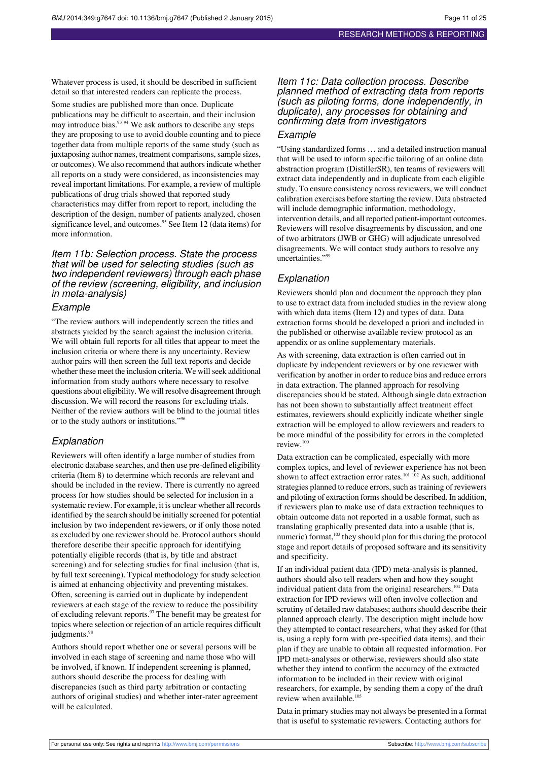Whatever process is used, it should be described in sufficient detail so that interested readers can replicate the process.

Some studies are published more than once. Duplicate publications may be difficult to ascertain, and their inclusion may introduce bias. $93.94$  We ask authors to describe any steps they are proposing to use to avoid double counting and to piece together data from multiple reports of the same study (such as juxtaposing author names, treatment comparisons, sample sizes, or outcomes). We also recommend that authorsindicate whether all reports on a study were considered, as inconsistencies may reveal important limitations. For example, a review of multiple publications of drug trials showed that reported study characteristics may differ from report to report, including the description of the design, number of patients analyzed, chosen significance level, and outcomes.<sup>95</sup> See Item 12 (data items) for more information.

Item 11b: Selection process. State the process that will be used for selecting studies (such as two independent reviewers) through each phase of the review (screening, eligibility, and inclusion in meta-analysis)

#### Example

"The review authors will independently screen the titles and abstracts yielded by the search against the inclusion criteria. We will obtain full reports for all titles that appear to meet the inclusion criteria or where there is any uncertainty. Review author pairs will then screen the full text reports and decide whether these meet the inclusion criteria. We will seek additional information from study authors where necessary to resolve questions about eligibility. We will resolve disagreement through discussion. We will record the reasons for excluding trials. Neither of the review authors will be blind to the journal titles or to the study authors or institutions."<sup>96</sup>

#### Explanation

Reviewers will often identify a large number of studies from electronic database searches, and then use pre-defined eligibility criteria (Item 8) to determine which records are relevant and should be included in the review. There is currently no agreed process for how studies should be selected for inclusion in a systematic review. For example, it is unclear whether all records identified by the search should be initially screened for potential inclusion by two independent reviewers, or if only those noted as excluded by one reviewer should be. Protocol authors should therefore describe their specific approach for identifying potentially eligible records (that is, by title and abstract screening) and for selecting studies for final inclusion (that is, by full text screening). Typical methodology for study selection is aimed at enhancing objectivity and preventing mistakes. Often, screening is carried out in duplicate by independent reviewers at each stage of the review to reduce the possibility of excluding relevant reports.<sup>97</sup> The benefit may be greatest for topics where selection or rejection of an article requires difficult judgments.<sup>98</sup>

Authors should report whether one or several persons will be involved in each stage of screening and name those who will be involved, if known. If independent screening is planned, authors should describe the process for dealing with discrepancies (such as third party arbitration or contacting authors of original studies) and whether inter-rater agreement will be calculated.

#### Item 11c: Data collection process. Describe planned method of extracting data from reports (such as piloting forms, done independently, in duplicate), any processes for obtaining and confirming data from investigators

#### **Example**

"Using standardized forms … and a detailed instruction manual that will be used to inform specific tailoring of an online data abstraction program (DistillerSR), ten teams of reviewers will extract data independently and in duplicate from each eligible study. To ensure consistency across reviewers, we will conduct calibration exercises before starting the review. Data abstracted will include demographic information, methodology, intervention details, and all reported patient-important outcomes. Reviewers will resolve disagreements by discussion, and one of two arbitrators (JWB or GHG) will adjudicate unresolved disagreements. We will contact study authors to resolve any uncertainties."<sup>99</sup>

#### Explanation

Reviewers should plan and document the approach they plan to use to extract data from included studies in the review along with which data items (Item 12) and types of data. Data extraction forms should be developed a priori and included in the published or otherwise available review protocol as an appendix or as online supplementary materials.

As with screening, data extraction is often carried out in duplicate by independent reviewers or by one reviewer with verification by another in order to reduce bias and reduce errors in data extraction. The planned approach for resolving discrepancies should be stated. Although single data extraction has not been shown to substantially affect treatment effect estimates, reviewers should explicitly indicate whether single extraction will be employed to allow reviewers and readers to be more mindful of the possibility for errors in the completed review.<sup>100</sup>

Data extraction can be complicated, especially with more complex topics, and level of reviewer experience has not been shown to affect extraction error rates.<sup>101 102</sup> As such, additional strategies planned to reduce errors, such as training of reviewers and piloting of extraction forms should be described. In addition, if reviewers plan to make use of data extraction techniques to obtain outcome data not reported in a usable format, such as translating graphically presented data into a usable (that is, numeric) format,<sup>103</sup> they should plan for this during the protocol stage and report details of proposed software and its sensitivity and specificity.

If an individual patient data (IPD) meta-analysis is planned, authors should also tell readers when and how they sought individual patient data from the original researchers.<sup>104</sup> Data extraction for IPD reviews will often involve collection and scrutiny of detailed raw databases; authors should describe their planned approach clearly. The description might include how they attempted to contact researchers, what they asked for (that is, using a reply form with pre-specified data items), and their plan if they are unable to obtain all requested information. For IPD meta-analyses or otherwise, reviewers should also state whether they intend to confirm the accuracy of the extracted information to be included in their review with original researchers, for example, by sending them a copy of the draft review when available.<sup>105</sup>

Data in primary studies may not always be presented in a format that is useful to systematic reviewers. Contacting authors for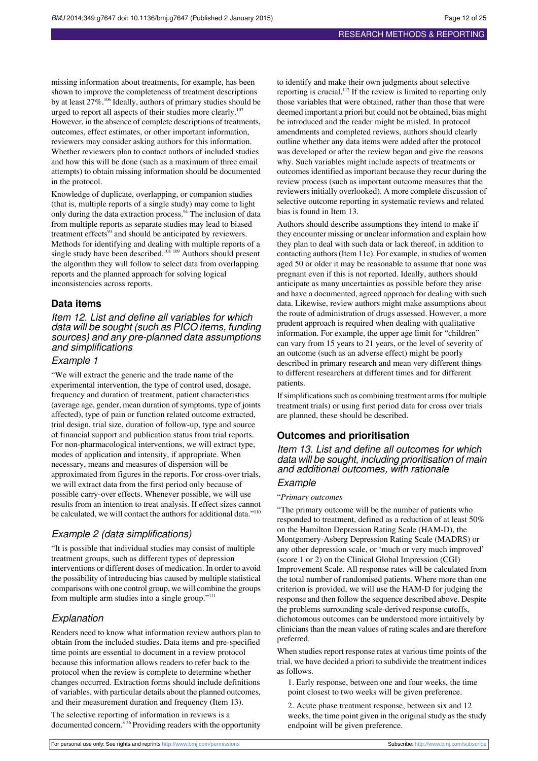missing information about treatments, for example, has been shown to improve the completeness of treatment descriptions by at least 27%.<sup>106</sup> Ideally, authors of primary studies should be urged to report all aspects of their studies more clearly.<sup>10</sup> However, in the absence of complete descriptions of treatments, outcomes, effect estimates, or other important information, reviewers may consider asking authors for this information. Whether reviewers plan to contact authors of included studies and how this will be done (such as a maximum of three email attempts) to obtain missing information should be documented in the protocol.

Knowledge of duplicate, overlapping, or companion studies (that is, multiple reports of a single study) may come to light only during the data extraction process.<sup>94</sup> The inclusion of data from multiple reports as separate studies may lead to biased treatment effects<sup>93</sup> and should be anticipated by reviewers. Methods for identifying and dealing with multiple reports of a single study have been described.<sup>108 109</sup> Authors should present the algorithm they will follow to select data from overlapping reports and the planned approach for solving logical inconsistencies across reports.

#### **Data items**

Item 12. List and define all variables for which data will be sought (such as PICO items, funding sources) and any pre-planned data assumptions and simplifications

#### Example 1

"We will extract the generic and the trade name of the experimental intervention, the type of control used, dosage, frequency and duration of treatment, patient characteristics (average age, gender, mean duration of symptoms, type of joints affected), type of pain or function related outcome extracted, trial design, trial size, duration of follow-up, type and source of financial support and publication status from trial reports. For non-pharmacological interventions, we will extract type, modes of application and intensity, if appropriate. When necessary, means and measures of dispersion will be approximated from figures in the reports. For cross-over trials, we will extract data from the first period only because of possible carry-over effects. Whenever possible, we will use results from an intention to treat analysis. If effect sizes cannot be calculated, we will contact the authors for additional data."<sup>110</sup>

#### Example 2 (data simplifications)

"It is possible that individual studies may consist of multiple treatment groups, such as different types of depression interventions or different doses of medication. In order to avoid the possibility of introducing bias caused by multiple statistical comparisons with one control group, we will combine the groups from multiple arm studies into a single group."<sup>111</sup>

#### Explanation

Readers need to know what information review authors plan to obtain from the included studies. Data items and pre-specified time points are essential to document in a review protocol because this information allows readers to refer back to the protocol when the review is complete to determine whether changes occurred. Extraction forms should include definitions of variables, with particular details about the planned outcomes, and their measurement duration and frequency (Item 13).

The selective reporting of information in reviews is a documented concern.<sup>8</sup> <sup>36</sup> Providing readers with the opportunity to identify and make their own judgments about selective reporting is crucial.<sup>112</sup> If the review is limited to reporting only those variables that were obtained, rather than those that were deemed important a priori but could not be obtained, bias might be introduced and the reader might be misled. In protocol amendments and completed reviews, authors should clearly outline whether any data items were added after the protocol was developed or after the review began and give the reasons why. Such variables might include aspects of treatments or outcomes identified as important because they recur during the review process (such as important outcome measures that the reviewers initially overlooked). A more complete discussion of selective outcome reporting in systematic reviews and related bias is found in Item 13.

Authors should describe assumptions they intend to make if they encounter missing or unclear information and explain how they plan to deal with such data or lack thereof, in addition to contacting authors(Item 11c). For example, in studies of women aged 50 or older it may be reasonable to assume that none was pregnant even if this is not reported. Ideally, authors should anticipate as many uncertainties as possible before they arise and have a documented, agreed approach for dealing with such data. Likewise, review authors might make assumptions about the route of administration of drugs assessed. However, a more prudent approach is required when dealing with qualitative information. For example, the upper age limit for "children" can vary from 15 years to 21 years, or the level of severity of an outcome (such as an adverse effect) might be poorly described in primary research and mean very different things to different researchers at different times and for different patients.

If simplifications such as combining treatment arms (for multiple treatment trials) or using first period data for cross over trials are planned, these should be described.

#### **Outcomes and prioritisation**

Item 13. List and define all outcomes for which data will be sought, including prioritisation of main and additional outcomes, with rationale

#### **Example**

#### "*Primary outcomes*

"The primary outcome will be the number of patients who responded to treatment, defined as a reduction of at least 50% on the Hamilton Depression Rating Scale (HAM-D), the Montgomery-Asberg Depression Rating Scale (MADRS) or any other depression scale, or 'much or very much improved' (score 1 or 2) on the Clinical Global Impression (CGI) Improvement Scale. All response rates will be calculated from the total number of randomised patients. Where more than one criterion is provided, we will use the HAM-D for judging the response and then follow the sequence described above. Despite the problems surrounding scale-derived response cutoffs, dichotomous outcomes can be understood more intuitively by cliniciansthan the mean values of rating scales and are therefore preferred.

When studies report response rates at various time points of the trial, we have decided a priori to subdivide the treatment indices as follows.

1. Early response, between one and four weeks, the time point closest to two weeks will be given preference.

2. Acute phase treatment response, between six and 12 weeks, the time point given in the original study as the study endpoint will be given preference.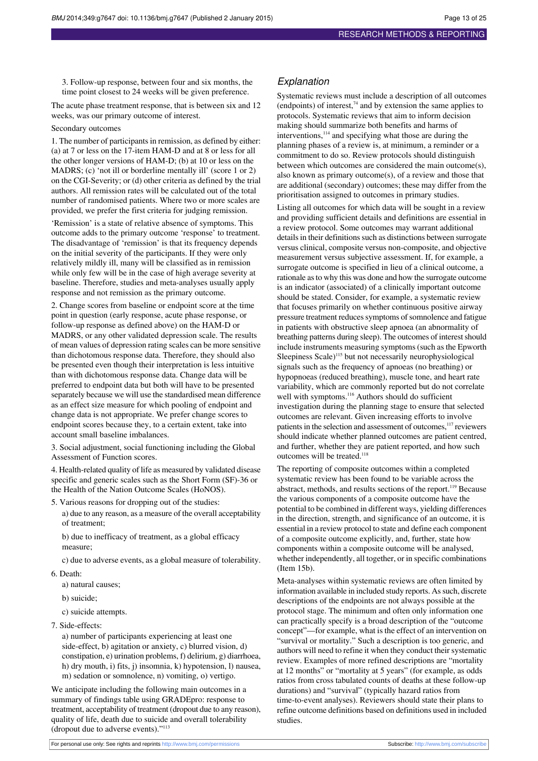3. Follow-up response, between four and six months, the time point closest to 24 weeks will be given preference.

The acute phase treatment response, that is between six and 12 weeks, was our primary outcome of interest.

#### Secondary outcomes

1. The number of participants in remission, as defined by either: (a) at 7 or less on the 17-item HAM-D and at 8 or less for all the other longer versions of HAM-D; (b) at 10 or less on the MADRS; (c) 'not ill or borderline mentally ill' (score 1 or 2) on the CGI-Severity; or (d) other criteria as defined by the trial authors. All remission rates will be calculated out of the total number of randomised patients. Where two or more scales are provided, we prefer the first criteria for judging remission.

'Remission' is a state of relative absence of symptoms. This outcome adds to the primary outcome 'response' to treatment. The disadvantage of 'remission' is that its frequency depends on the initial severity of the participants. If they were only relatively mildly ill, many will be classified as in remission while only few will be in the case of high average severity at baseline. Therefore, studies and meta-analyses usually apply response and not remission as the primary outcome.

2. Change scores from baseline or endpoint score at the time point in question (early response, acute phase response, or follow-up response as defined above) on the HAM-D or MADRS, or any other validated depression scale. The results of mean values of depression rating scales can be more sensitive than dichotomous response data. Therefore, they should also be presented even though their interpretation is less intuitive than with dichotomous response data. Change data will be preferred to endpoint data but both will have to be presented separately because we will use the standardised mean difference as an effect size measure for which pooling of endpoint and change data is not appropriate. We prefer change scores to endpoint scores because they, to a certain extent, take into account small baseline imbalances.

3. Social adjustment, social functioning including the Global Assessment of Function scores.

4. Health-related quality of life as measured by validated disease specific and generic scales such as the Short Form (SF)-36 or the Health of the Nation Outcome Scales (HoNOS).

5. Various reasons for dropping out of the studies:

a) due to any reason, as a measure of the overall acceptability of treatment;

b) due to inefficacy of treatment, as a global efficacy measure;

c) due to adverse events, as a global measure of tolerability.

- 6. Death:
	- a) natural causes;
	- b) suicide;

c) suicide attempts.

7. Side-effects:

a) number of participants experiencing at least one side-effect, b) agitation or anxiety, c) blurred vision, d) constipation, e) urination problems, f) delirium, g) diarrhoea, h) dry mouth, i) fits, j) insomnia, k) hypotension, l) nausea, m) sedation or somnolence, n) vomiting, o) vertigo.

We anticipate including the following main outcomes in a summary of findings table using GRADEpro: response to treatment, acceptability of treatment (dropout due to any reason), quality of life, death due to suicide and overall tolerability (dropout due to adverse events)."<sup>113</sup>

#### Explanation

Systematic reviews must include a description of all outcomes (endpoints) of interest, $74$  and by extension the same applies to protocols. Systematic reviews that aim to inform decision making should summarize both benefits and harms of interventions,<sup>114</sup> and specifying what those are during the planning phases of a review is, at minimum, a reminder or a commitment to do so. Review protocols should distinguish between which outcomes are considered the main outcome(s), also known as primary outcome(s), of a review and those that are additional (secondary) outcomes; these may differ from the prioritisation assigned to outcomes in primary studies.

Listing all outcomes for which data will be sought in a review and providing sufficient details and definitions are essential in a review protocol. Some outcomes may warrant additional details in their definitions such as distinctions between surrogate versus clinical, composite versus non-composite, and objective measurement versus subjective assessment. If, for example, a surrogate outcome is specified in lieu of a clinical outcome, a rationale asto why this was done and how the surrogate outcome is an indicator (associated) of a clinically important outcome should be stated. Consider, for example, a systematic review that focuses primarily on whether continuous positive airway pressure treatment reduces symptoms of somnolence and fatigue in patients with obstructive sleep apnoea (an abnormality of breathing patterns during sleep). The outcomes of interest should include instruments measuring symptoms (such as the Epworth Sleepiness Scale)<sup>115</sup> but not necessarily neurophysiological signals such as the frequency of apnoeas (no breathing) or hypopnoeas (reduced breathing), muscle tone, and heart rate variability, which are commonly reported but do not correlate well with symptoms.<sup>116</sup> Authors should do sufficient investigation during the planning stage to ensure that selected outcomes are relevant. Given increasing efforts to involve patients in the selection and assessment of outcomes,<sup>117</sup> reviewers should indicate whether planned outcomes are patient centred, and further, whether they are patient reported, and how such outcomes will be treated.<sup>118</sup>

The reporting of composite outcomes within a completed systematic review has been found to be variable across the abstract, methods, and results sections of the report.<sup>119</sup> Because the various components of a composite outcome have the potential to be combined in different ways, yielding differences in the direction, strength, and significance of an outcome, it is essential in a review protocol to state and define each component of a composite outcome explicitly, and, further, state how components within a composite outcome will be analysed, whether independently, all together, or in specific combinations (Item 15b).

Meta-analyses within systematic reviews are often limited by information available in included study reports. As such, discrete descriptions of the endpoints are not always possible at the protocol stage. The minimum and often only information one can practically specify is a broad description of the "outcome concept"—for example, what is the effect of an intervention on "survival or mortality." Such a description is too generic, and authors will need to refine it when they conduct their systematic review. Examples of more refined descriptions are "mortality at 12 months" or "mortality at 5 years" (for example, as odds ratios from cross tabulated counts of deaths at these follow-up durations) and "survival" (typically hazard ratios from time-to-event analyses). Reviewers should state their plans to refine outcome definitions based on definitions used in included studies.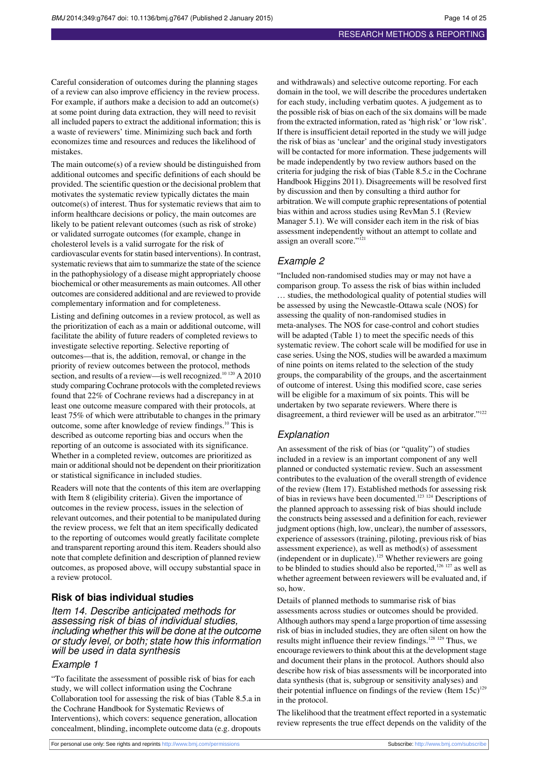Careful consideration of outcomes during the planning stages of a review can also improve efficiency in the review process. For example, if authors make a decision to add an outcome(s) at some point during data extraction, they will need to revisit all included papers to extract the additional information; this is a waste of reviewers' time. Minimizing such back and forth economizes time and resources and reduces the likelihood of mistakes.

The main outcome(s) of a review should be distinguished from additional outcomes and specific definitions of each should be provided. The scientific question or the decisional problem that motivates the systematic review typically dictates the main outcome(s) of interest. Thus for systematic reviews that aim to inform healthcare decisions or policy, the main outcomes are likely to be patient relevant outcomes (such as risk of stroke) or validated surrogate outcomes (for example, change in cholesterol levels is a valid surrogate for the risk of cardiovascular events for statin based interventions). In contrast, systematic reviews that aim to summarize the state of the science in the pathophysiology of a disease might appropriately choose biochemical or other measurements as main outcomes. All other outcomes are considered additional and are reviewed to provide complementary information and for completeness.

Listing and defining outcomes in a review protocol, as well as the prioritization of each as a main or additional outcome, will facilitate the ability of future readers of completed reviews to investigate selective reporting. Selective reporting of outcomes—that is, the addition, removal, or change in the priority of review outcomes between the protocol, methods section, and results of a review—is well recognized.<sup>10 120</sup> A 2010 study comparing Cochrane protocols with the completed reviews found that 22% of Cochrane reviews had a discrepancy in at least one outcome measure compared with their protocols, at least 75% of which were attributable to changes in the primary outcome, some after knowledge of review findings.<sup>10</sup> This is described as outcome reporting bias and occurs when the reporting of an outcome is associated with its significance. Whether in a completed review, outcomes are prioritized as main or additional should not be dependent on their prioritization or statistical significance in included studies.

Readers will note that the contents of this item are overlapping with Item 8 (eligibility criteria). Given the importance of outcomes in the review process, issues in the selection of relevant outcomes, and their potential to be manipulated during the review process, we felt that an item specifically dedicated to the reporting of outcomes would greatly facilitate complete and transparent reporting around this item. Readers should also note that complete definition and description of planned review outcomes, as proposed above, will occupy substantial space in a review protocol.

#### **Risk of bias individual studies**

Item 14. Describe anticipated methods for assessing risk of bias of individual studies, including whether this will be done at the outcome or study level, or both; state how this information will be used in data synthesis

#### Example 1

"To facilitate the assessment of possible risk of bias for each study, we will collect information using the Cochrane Collaboration tool for assessing the risk of bias (Table 8.5.a in the Cochrane Handbook for Systematic Reviews of Interventions), which covers: sequence generation, allocation concealment, blinding, incomplete outcome data (e.g. dropouts

and withdrawals) and selective outcome reporting. For each domain in the tool, we will describe the procedures undertaken for each study, including verbatim quotes. A judgement as to the possible risk of bias on each of the six domains will be made from the extracted information, rated as'high risk' or 'low risk'. If there is insufficient detail reported in the study we will judge the risk of bias as 'unclear' and the original study investigators will be contacted for more information. These judgements will be made independently by two review authors based on the criteria for judging the risk of bias (Table 8.5.c in the Cochrane Handbook Higgins 2011). Disagreements will be resolved first by discussion and then by consulting a third author for arbitration. We will compute graphic representations of potential bias within and across studies using RevMan 5.1 (Review Manager 5.1). We will consider each item in the risk of bias assessment independently without an attempt to collate and assign an overall score."<sup>121</sup>

#### Example 2

"Included non-randomised studies may or may not have a comparison group. To assess the risk of bias within included … studies, the methodological quality of potential studies will be assessed by using the Newcastle-Ottawa scale (NOS) for assessing the quality of non-randomised studies in meta-analyses. The NOS for case-control and cohort studies will be adapted (Table 1) to meet the specific needs of this systematic review. The cohort scale will be modified for use in case series. Using the NOS, studies will be awarded a maximum of nine points on items related to the selection of the study groups, the comparability of the groups, and the ascertainment of outcome of interest. Using this modified score, case series will be eligible for a maximum of six points. This will be undertaken by two separate reviewers. Where there is disagreement, a third reviewer will be used as an arbitrator."<sup>122</sup>

#### Explanation

An assessment of the risk of bias (or "quality") of studies included in a review is an important component of any well planned or conducted systematic review. Such an assessment contributes to the evaluation of the overall strength of evidence of the review (Item 17). Established methods for assessing risk of bias in reviews have been documented.<sup>123 124</sup> Descriptions of the planned approach to assessing risk of bias should include the constructs being assessed and a definition for each, reviewer judgment options (high, low, unclear), the number of assessors, experience of assessors (training, piloting, previous risk of bias assessment experience), as well as method(s) of assessment (independent or in duplicate).<sup>125</sup> Whether reviewers are going to be blinded to studies should also be reported, $126$  127 as well as whether agreement between reviewers will be evaluated and, if so, how.

Details of planned methods to summarise risk of bias assessments across studies or outcomes should be provided. Although authors may spend a large proportion of time assessing risk of bias in included studies, they are often silent on how the results might influence their review findings.<sup>128</sup> <sup>129</sup> Thus, we encourage reviewers to think about this at the development stage and document their plans in the protocol. Authors should also describe how risk of bias assessments will be incorporated into data synthesis (that is, subgroup or sensitivity analyses) and their potential influence on findings of the review (Item  $15c)^{129}$ in the protocol.

The likelihood that the treatment effect reported in a systematic review represents the true effect depends on the validity of the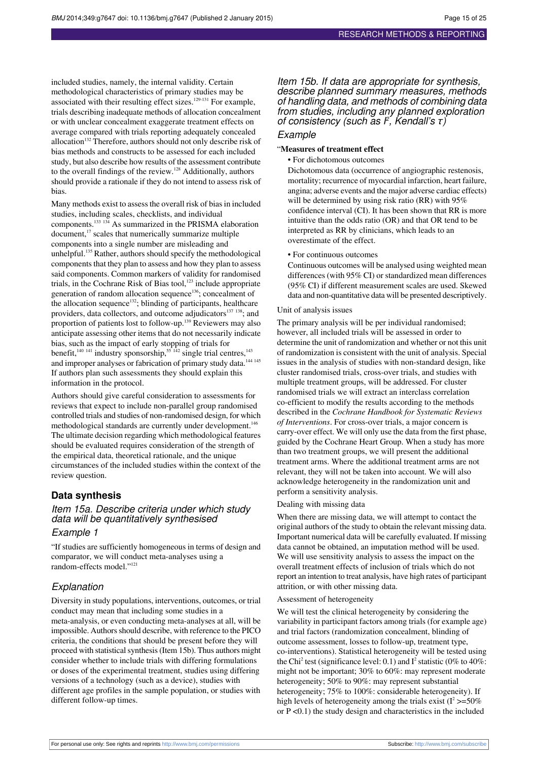included studies, namely, the internal validity. Certain methodological characteristics of primary studies may be associated with their resulting effect sizes.<sup>129-131</sup> For example, trials describing inadequate methods of allocation concealment or with unclear concealment exaggerate treatment effects on average compared with trials reporting adequately concealed allocation<sup>132</sup> Therefore, authors should not only describe risk of bias methods and constructs to be assessed for each included study, but also describe how results of the assessment contribute to the overall findings of the review.<sup>128</sup> Additionally, authors should provide a rationale if they do not intend to assess risk of bias.

Many methods exist to assess the overall risk of bias in included studies, including scales, checklists, and individual components.<sup>133</sup> <sup>134</sup> As summarized in the PRISMA elaboration  $document<sup>17</sup> scales that numerically summarize multiple$ components into a single number are misleading and unhelpful.<sup>135</sup> Rather, authors should specify the methodological components that they plan to assess and how they plan to assess said components. Common markers of validity for randomised trials, in the Cochrane Risk of Bias tool,<sup>123</sup> include appropriate generation of random allocation sequence<sup>136</sup>; concealment of the allocation sequence<sup>132</sup>; blinding of participants, healthcare providers, data collectors, and outcome adjudicators<sup>137</sup> <sup>138</sup>; and proportion of patients lost to follow-up.<sup>139</sup> Reviewers may also anticipate assessing other items that do not necessarily indicate bias, such as the impact of early stopping of trials for benefit,<sup>140 141</sup> industry sponsorship,<sup>55 142</sup> single trial centres,<sup>143</sup> and improper analyses or fabrication of primary study data.<sup>144 145</sup> If authors plan such assessments they should explain this information in the protocol.

Authors should give careful consideration to assessments for reviews that expect to include non-parallel group randomised controlled trials and studies of non-randomised design, for which methodological standards are currently under development.<sup>146</sup> The ultimate decision regarding which methodological features should be evaluated requires consideration of the strength of the empirical data, theoretical rationale, and the unique circumstances of the included studies within the context of the review question.

#### **Data synthesis**

# Item 15a. Describe criteria under which study data will be quantitatively synthesised

## Example 1

"If studies are sufficiently homogeneous in terms of design and comparator, we will conduct meta-analyses using a random-effects model."<sup>121</sup>

#### **Explanation**

Diversity in study populations, interventions, outcomes, or trial conduct may mean that including some studies in a

meta-analysis, or even conducting meta-analyses at all, will be impossible. Authors should describe, with reference to the PICO criteria, the conditions that should be present before they will proceed with statistical synthesis (Item 15b). Thus authors might consider whether to include trials with differing formulations or doses of the experimental treatment, studies using differing versions of a technology (such as a device), studies with different age profiles in the sample population, or studies with different follow-up times.

Item 15b. If data are appropriate for synthesis, describe planned summary measures, methods of handling data, and methods of combining data from studies, including any planned exploration of consistency (such as l<sup>e</sup>, Kendall's τ)

#### **Example**

#### "**Measures of treatment effect**

• For dichotomous outcomes

Dichotomous data (occurrence of angiographic restenosis, mortality; recurrence of myocardial infarction, heart failure, angina; adverse events and the major adverse cardiac effects) will be determined by using risk ratio (RR) with 95% confidence interval (CI). It has been shown that RR is more intuitive than the odds ratio (OR) and that OR tend to be interpreted as RR by clinicians, which leads to an overestimate of the effect.

• For continuous outcomes

Continuous outcomes will be analysed using weighted mean differences (with 95% CI) or standardized mean differences (95% CI) if different measurement scales are used. Skewed data and non-quantitative data will be presented descriptively.

#### Unit of analysis issues

The primary analysis will be per individual randomised; however, all included trials will be assessed in order to determine the unit of randomization and whether or not this unit of randomization is consistent with the unit of analysis. Special issues in the analysis of studies with non-standard design, like cluster randomised trials, cross-over trials, and studies with multiple treatment groups, will be addressed. For cluster randomised trials we will extract an interclass correlation co-efficient to modify the results according to the methods described in the *Cochrane Handbook for Systematic Reviews of Interventions*. For cross-over trials, a major concern is carry-over effect. We will only use the data from the first phase, guided by the Cochrane Heart Group. When a study has more than two treatment groups, we will present the additional treatment arms. Where the additional treatment arms are not relevant, they will not be taken into account. We will also acknowledge heterogeneity in the randomization unit and perform a sensitivity analysis.

#### Dealing with missing data

When there are missing data, we will attempt to contact the original authors of the study to obtain the relevant missing data. Important numerical data will be carefully evaluated. If missing data cannot be obtained, an imputation method will be used. We will use sensitivity analysis to assess the impact on the overall treatment effects of inclusion of trials which do not report an intention to treat analysis, have high rates of participant attrition, or with other missing data.

#### Assessment of heterogeneity

We will test the clinical heterogeneity by considering the variability in participant factors among trials (for example age) and trial factors (randomization concealment, blinding of outcome assessment, losses to follow-up, treatment type, co-interventions). Statistical heterogeneity will be tested using the Chi<sup>2</sup> test (significance level: 0.1) and  $I^2$  statistic (0% to 40%: might not be important; 30% to 60%: may represent moderate heterogeneity; 50% to 90%: may represent substantial heterogeneity; 75% to 100%: considerable heterogeneity). If high levels of heterogeneity among the trials exist  $(I^2)$  = 50% or P <0.1) the study design and characteristics in the included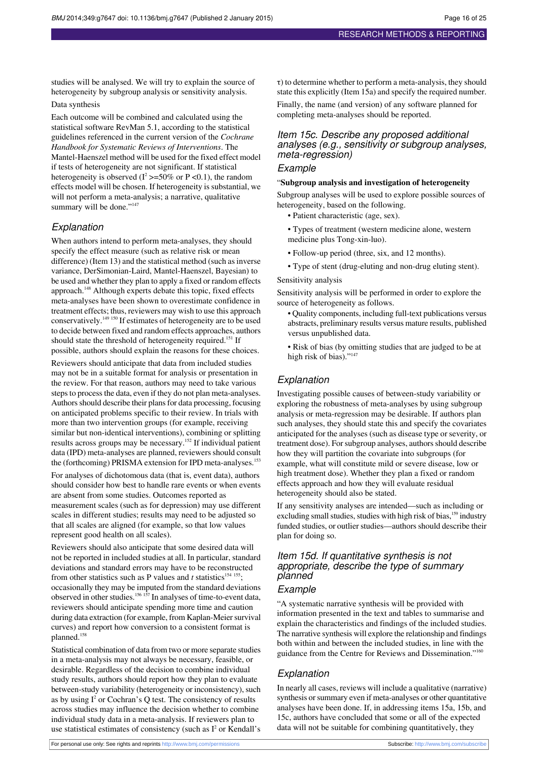studies will be analysed. We will try to explain the source of heterogeneity by subgroup analysis or sensitivity analysis.

#### Data synthesis

Each outcome will be combined and calculated using the statistical software RevMan 5.1, according to the statistical guidelines referenced in the current version of the *Cochrane Handbook for Systematic Reviews of Interventions*. The Mantel-Haenszel method will be used for the fixed effect model if tests of heterogeneity are not significant. If statistical heterogeneity is observed ( $I^2$  >=50% or P <0.1), the random effects model will be chosen. If heterogeneity is substantial, we will not perform a meta-analysis; a narrative, qualitative summary will be done."<sup>147</sup>

#### Explanation

When authors intend to perform meta-analyses, they should specify the effect measure (such as relative risk or mean difference) (Item 13) and the statistical method (such as inverse variance, DerSimonian-Laird, Mantel-Haenszel, Bayesian) to be used and whether they plan to apply a fixed or random effects approach.<sup>148</sup> Although experts debate this topic, fixed effects meta-analyses have been shown to overestimate confidence in treatment effects; thus, reviewers may wish to use this approach conservatively.<sup>149</sup> <sup>150</sup> If estimates of heterogeneity are to be used to decide between fixed and random effects approaches, authors should state the threshold of heterogeneity required.<sup>151</sup> If possible, authors should explain the reasons for these choices.

Reviewers should anticipate that data from included studies may not be in a suitable format for analysis or presentation in the review. For that reason, authors may need to take various steps to process the data, even if they do not plan meta-analyses. Authors should describe their plans for data processing, focusing on anticipated problems specific to their review. In trials with more than two intervention groups (for example, receiving similar but non-identical interventions), combining or splitting results across groups may be necessary.<sup>152</sup> If individual patient data (IPD) meta-analyses are planned, reviewers should consult the (forthcoming) PRISMA extension for IPD meta-analyses.<sup>153</sup>

For analyses of dichotomous data (that is, event data), authors should consider how best to handle rare events or when events are absent from some studies. Outcomes reported as measurement scales (such as for depression) may use different scales in different studies; results may need to be adjusted so that all scales are aligned (for example, so that low values represent good health on all scales).

Reviewers should also anticipate that some desired data will not be reported in included studies at all. In particular, standard deviations and standard errors may have to be reconstructed from other statistics such as P values and  $t$  statistics<sup>154 155</sup>; occasionally they may be imputed from the standard deviations observed in other studies.<sup>156 157</sup> In analyses of time-to-event data, reviewers should anticipate spending more time and caution during data extraction (for example, from Kaplan-Meier survival curves) and report how conversion to a consistent format is planned.<sup>158</sup>

Statistical combination of data from two or more separate studies in a meta-analysis may not always be necessary, feasible, or desirable. Regardless of the decision to combine individual study results, authors should report how they plan to evaluate between-study variability (heterogeneity or inconsistency), such as by using  $I^2$  or Cochran's Q test. The consistency of results across studies may influence the decision whether to combine individual study data in a meta-analysis. If reviewers plan to use statistical estimates of consistency (such as  $I^2$  or Kendall's

Finally, the name (and version) of any software planned for completing meta-analyses should be reported.

#### Item 15c. Describe any proposed additional analyses (e.g., sensitivity or subgroup analyses, meta-regression)

#### **Example**

#### "**Subgroup analysis and investigation of heterogeneity**

Subgroup analyses will be used to explore possible sources of heterogeneity, based on the following.

- Patient characteristic (age, sex).
- Types of treatment (western medicine alone, western medicine plus Tong-xin-luo).
- Follow-up period (three, six, and 12 months).
- Type of stent (drug-eluting and non-drug eluting stent).

Sensitivity analysis

Sensitivity analysis will be performed in order to explore the source of heterogeneity as follows.

- Quality components, including full-text publications versus abstracts, preliminary results versus mature results, published versus unpublished data.
- Risk of bias (by omitting studies that are judged to be at high risk of bias)."<sup>147</sup>

#### Explanation

Investigating possible causes of between-study variability or exploring the robustness of meta-analyses by using subgroup analysis or meta-regression may be desirable. If authors plan such analyses, they should state this and specify the covariates anticipated for the analyses (such as disease type or severity, or treatment dose). For subgroup analyses, authors should describe how they will partition the covariate into subgroups (for example, what will constitute mild or severe disease, low or high treatment dose). Whether they plan a fixed or random effects approach and how they will evaluate residual heterogeneity should also be stated.

If any sensitivity analyses are intended—such as including or excluding small studies, studies with high risk of bias,<sup>159</sup> industry funded studies, or outlier studies—authors should describe their plan for doing so.

#### Item 15d. If quantitative synthesis is not appropriate, describe the type of summary planned

#### Example

"A systematic narrative synthesis will be provided with information presented in the text and tables to summarise and explain the characteristics and findings of the included studies. The narrative synthesis will explore the relationship and findings both within and between the included studies, in line with the guidance from the Centre for Reviews and Dissemination."<sup>160</sup>

#### Explanation

In nearly all cases, reviews will include a qualitative (narrative) synthesis or summary even if meta-analyses or other quantitative analyses have been done. If, in addressing items 15a, 15b, and 15c, authors have concluded that some or all of the expected data will not be suitable for combining quantitatively, they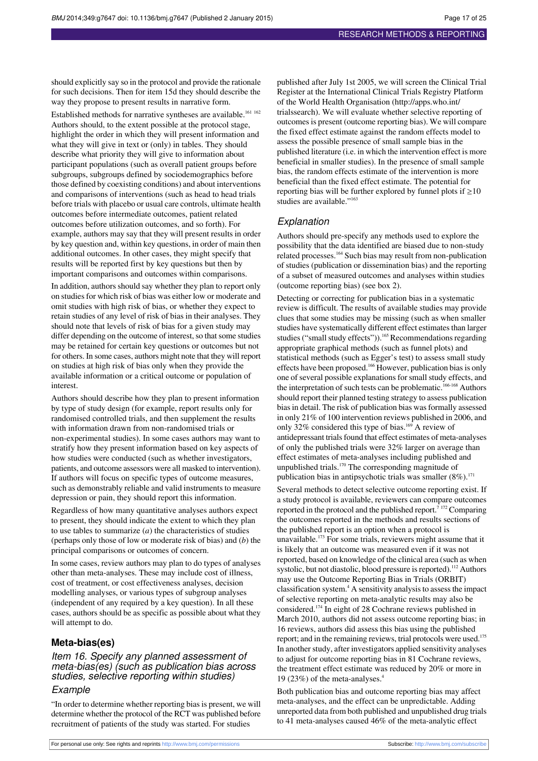should explicitly say so in the protocol and provide the rationale for such decisions. Then for item 15d they should describe the way they propose to present results in narrative form.

Established methods for narrative syntheses are available.<sup>161 162</sup> Authors should, to the extent possible at the protocol stage, highlight the order in which they will present information and what they will give in text or (only) in tables. They should describe what priority they will give to information about participant populations (such as overall patient groups before subgroups, subgroups defined by sociodemographics before those defined by coexisting conditions) and about interventions and comparisons of interventions (such as head to head trials before trials with placebo or usual care controls, ultimate health outcomes before intermediate outcomes, patient related outcomes before utilization outcomes, and so forth). For example, authors may say that they will present results in order by key question and, within key questions, in order of main then additional outcomes. In other cases, they might specify that results will be reported first by key questions but then by important comparisons and outcomes within comparisons.

In addition, authors should say whether they plan to report only on studies for which risk of bias was either low or moderate and omit studies with high risk of bias, or whether they expect to retain studies of any level of risk of bias in their analyses. They should note that levels of risk of bias for a given study may differ depending on the outcome of interest, so that some studies may be retained for certain key questions or outcomes but not for others. In some cases, authors might note that they will report on studies at high risk of bias only when they provide the available information or a critical outcome or population of interest.

Authors should describe how they plan to present information by type of study design (for example, report results only for randomised controlled trials, and then supplement the results with information drawn from non-randomised trials or non-experimental studies). In some cases authors may want to stratify how they present information based on key aspects of how studies were conducted (such as whether investigators, patients, and outcome assessors were all masked to intervention). If authors will focus on specific types of outcome measures, such as demonstrably reliable and valid instruments to measure depression or pain, they should report this information.

Regardless of how many quantitative analyses authors expect to present, they should indicate the extent to which they plan to use tables to summarize (*a*) the characteristics of studies (perhaps only those of low or moderate risk of bias) and (*b*) the principal comparisons or outcomes of concern.

In some cases, review authors may plan to do types of analyses other than meta-analyses. These may include cost of illness, cost of treatment, or cost effectiveness analyses, decision modelling analyses, or various types of subgroup analyses (independent of any required by a key question). In all these cases, authors should be as specific as possible about what they will attempt to do.

#### **Meta-bias(es)**

#### Item 16. Specify any planned assessment of meta-bias(es) (such as publication bias across studies, selective reporting within studies)

#### Example

"In order to determine whether reporting bias is present, we will determine whether the protocol of the RCT was published before recruitment of patients of the study was started. For studies

published after July 1st 2005, we will screen the Clinical Trial Register at the International Clinical Trials Registry Platform of the World Health Organisation [\(http://apps.who.int/](http://apps.who.int/trialssearch) [trialssearch\)](http://apps.who.int/trialssearch). We will evaluate whether selective reporting of outcomesis present (outcome reporting bias). We will compare the fixed effect estimate against the random effects model to assess the possible presence of small sample bias in the published literature (i.e. in which the intervention effect is more beneficial in smaller studies). In the presence of small sample bias, the random effects estimate of the intervention is more beneficial than the fixed effect estimate. The potential for reporting bias will be further explored by funnel plots if  $\geq 10$ studies are available."<sup>163</sup>

#### **Explanation**

Authors should pre-specify any methods used to explore the possibility that the data identified are biased due to non-study related processes.<sup>164</sup> Such bias may result from non-publication of studies (publication or dissemination bias) and the reporting of a subset of measured outcomes and analyses within studies (outcome reporting bias) (see box 2).

Detecting or correcting for publication bias in a systematic review is difficult. The results of available studies may provide clues that some studies may be missing (such as when smaller studies have systematically different effect estimates than larger studies ("small study effects")).<sup>165</sup> Recommendations regarding appropriate graphical methods (such as funnel plots) and statistical methods (such as Egger's test) to assess small study effects have been proposed.<sup>166</sup> However, publication bias is only one of several possible explanations for small study effects, and the interpretation of such tests can be problematic.<sup>166-168</sup> Authors should report their planned testing strategy to assess publication bias in detail. The risk of publication bias was formally assessed in only 21% of 100 intervention reviews published in 2006, and only 32% considered this type of bias.<sup>169</sup> A review of antidepressant trials found that effect estimates of meta-analyses of only the published trials were 32% larger on average than effect estimates of meta-analyses including published and unpublished trials.<sup>170</sup> The corresponding magnitude of publication bias in antipsychotic trials was smaller  $(8\%)$ .<sup>171</sup>

Several methods to detect selective outcome reporting exist. If a study protocol is available, reviewers can compare outcomes reported in the protocol and the published report.<sup> $7172$ </sup> Comparing the outcomes reported in the methods and results sections of the published report is an option when a protocol is unavailable.<sup>173</sup> For some trials, reviewers might assume that it is likely that an outcome was measured even if it was not reported, based on knowledge of the clinical area (such as when systolic, but not diastolic, blood pressure is reported).<sup>112</sup> Authors may use the Outcome Reporting Bias in Trials (ORBIT) classification system.<sup>4</sup> A sensitivity analysisto assessthe impact of selective reporting on meta-analytic results may also be considered.<sup>174</sup> In eight of 28 Cochrane reviews published in March 2010, authors did not assess outcome reporting bias; in 16 reviews, authors did assess this bias using the published report; and in the remaining reviews, trial protocols were used.<sup>175</sup> In another study, after investigators applied sensitivity analyses to adjust for outcome reporting bias in 81 Cochrane reviews, the treatment effect estimate was reduced by 20% or more in 19 (23%) of the meta-analyses. $4$ 

Both publication bias and outcome reporting bias may affect meta-analyses, and the effect can be unpredictable. Adding unreported data from both published and unpublished drug trials to 41 meta-analyses caused 46% of the meta-analytic effect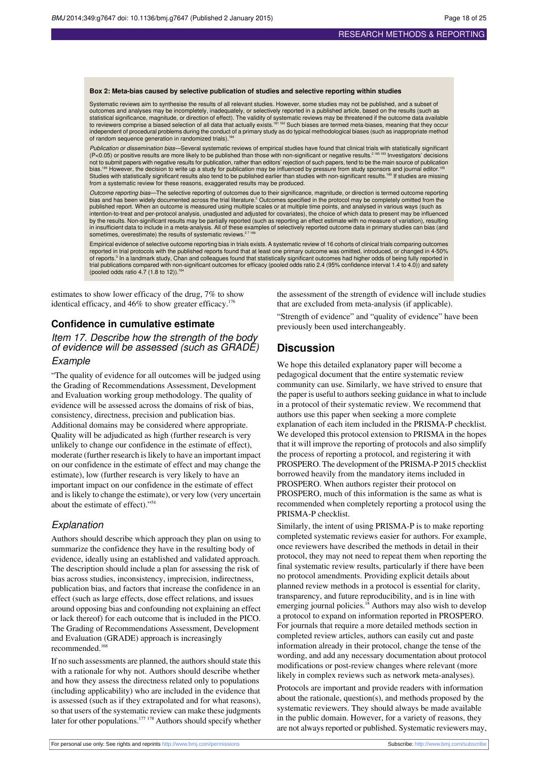#### **Box 2: Meta-bias caused by selective publication of studies and selective reporting within studies**

Systematic reviews aim to synthesise the results of all relevant studies. However, some studies may not be published, and a subset of outcomes and analyses may be incompletely, inadequately, or selectively reported in a published article, based on the results (such as statistical significance, magnitude, or direction of effect). The validity of systematic reviews may be threatened if the outcome data available<br>to reviewers comprise a biased selection of all data that actually exists.<sup>18</sup> independent of procedural problems during the conduct of a primary study as do typical methodological biases (such as inappropriate method of random sequence generation in randomized trials).<sup>16</sup>

*Publication or dissemination bias—*Several systematic reviews of empirical studies have found that clinical trials with statistically significant<br>(P<0.05) or positive results are more likely to be published than those wit not to submit papers with negative results for publication, rather than editors' rejection of such papers, tend to be the main source of publication bias.<sup>184</sup> However, the decision to write up a study for publication may be influenced by pressure from study sponsors and journal editor. Studies with statistically significant results also tend to be published earlier than studies with non-significant results.<sup>165</sup> If studies are missing from a systematic review for these reasons, exaggerated results may be produced.

Outcome reporting bias—The selective reporting of outcomes due to their significance, magnitude, or direction is termed outcome reporting bias and has been widely documented across the trial literature.<sup>2</sup> Outcomes specified in the protocol may be completely omitted from the published report. When an outcome is measured using multiple scales or at multiple time points, and analysed in various ways (such as intention-to-treat and per-protocol analysis, unadjusted and adjusted for covariates), the choice of which data to present may be influenced<br>by the results. Non-significant results may be partially reported (such as report in insufficient data to include in a meta-analysis. All of these examples of selectively reported outcome data in primary studies can bias (and sometimes, overestimate) the results of systematic reviews.<sup>2</sup>

Empirical evidence of selective outcome reporting bias in trials exists. A systematic review of 16 cohorts of clinical trials comparing outcomes<br>reported in trial protocols with the published reports found that at least on of reports.<sup>3</sup> In a landmark study, Chan and colleagues found that statistically significant outcomes had higher odds of being fully reported in trial publications compared with non-significant outcomes for efficacy (pooled odds ratio 2.4 (95% confidence interval 1.4 to 4.0)) and safety (pooled odds ratio 4.7 (1.8 to 12)).<sup>164</sup>

estimates to show lower efficacy of the drug, 7% to show identical efficacy, and  $46\%$  to show greater efficacy.<sup>176</sup>

#### **Confidence in cumulative estimate**

Item 17. Describe how the strength of the body of evidence will be assessed (such as GRADE) Example

"The quality of evidence for all outcomes will be judged using the Grading of Recommendations Assessment, Development and Evaluation working group methodology. The quality of evidence will be assessed across the domains of risk of bias, consistency, directness, precision and publication bias. Additional domains may be considered where appropriate. Quality will be adjudicated as high (further research is very unlikely to change our confidence in the estimate of effect), moderate (further research islikely to have an important impact on our confidence in the estimate of effect and may change the estimate), low (further research is very likely to have an important impact on our confidence in the estimate of effect and is likely to change the estimate), or very low (very uncertain about the estimate of effect)."<sup>54</sup>

#### Explanation

Authors should describe which approach they plan on using to summarize the confidence they have in the resulting body of evidence, ideally using an established and validated approach. The description should include a plan for assessing the risk of bias across studies, inconsistency, imprecision, indirectness, publication bias, and factors that increase the confidence in an effect (such as large effects, dose effect relations, and issues around opposing bias and confounding not explaining an effect or lack thereof) for each outcome that is included in the PICO. The Grading of Recommendations Assessment, Development and Evaluation (GRADE) approach is increasingly recommended.<sup>168</sup>

If no such assessments are planned, the authors should state this with a rationale for why not. Authors should describe whether and how they assess the directness related only to populations (including applicability) who are included in the evidence that is assessed (such as if they extrapolated and for what reasons), so that users of the systematic review can make these judgments later for other populations.<sup>177</sup> <sup>178</sup> Authors should specify whether

the assessment of the strength of evidence will include studies that are excluded from meta-analysis (if applicable).

"Strength of evidence" and "quality of evidence" have been previously been used interchangeably.

### **Discussion**

We hope this detailed explanatory paper will become a pedagogical document that the entire systematic review community can use. Similarly, we have strived to ensure that the paper is useful to authors seeking guidance in what to include in a protocol of their systematic review. We recommend that authors use this paper when seeking a more complete explanation of each item included in the PRISMA-P checklist. We developed this protocol extension to PRISMA in the hopes that it will improve the reporting of protocols and also simplify the process of reporting a protocol, and registering it with PROSPERO. The development of the PRISMA-P 2015 checklist borrowed heavily from the mandatory items included in PROSPERO. When authors register their protocol on PROSPERO, much of this information is the same as what is recommended when completely reporting a protocol using the PRISMA-P checklist.

Similarly, the intent of using PRISMA-P is to make reporting completed systematic reviews easier for authors. For example, once reviewers have described the methods in detail in their protocol, they may not need to repeat them when reporting the final systematic review results, particularly if there have been no protocol amendments. Providing explicit details about planned review methods in a protocol is essential for clarity, transparency, and future reproducibility, and is in line with emerging journal policies.<sup>18</sup> Authors may also wish to develop a protocol to expand on information reported in PROSPERO. For journals that require a more detailed methods section in completed review articles, authors can easily cut and paste information already in their protocol, change the tense of the wording, and add any necessary documentation about protocol modifications or post-review changes where relevant (more likely in complex reviews such as network meta-analyses).

Protocols are important and provide readers with information about the rationale, question(s), and methods proposed by the systematic reviewers. They should always be made available in the public domain. However, for a variety of reasons, they are not always reported or published. Systematic reviewers may,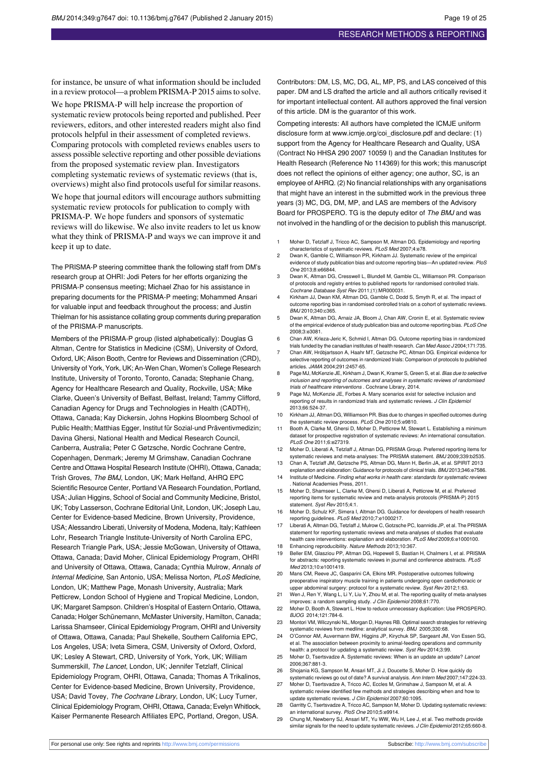for instance, be unsure of what information should be included in a review protocol—a problem PRISMA-P 2015 aimsto solve.

We hope PRISMA-P will help increase the proportion of systematic review protocols being reported and published. Peer reviewers, editors, and other interested readers might also find protocols helpful in their assessment of completed reviews. Comparing protocols with completed reviews enables users to assess possible selective reporting and other possible deviations from the proposed systematic review plan. Investigators completing systematic reviews of systematic reviews (that is, overviews) might also find protocols useful for similar reasons.

We hope that journal editors will encourage authors submitting systematic review protocols for publication to comply with PRISMA-P. We hope funders and sponsors of systematic reviews will do likewise. We also invite readers to let us know what they think of PRISMA-P and ways we can improve it and keep it up to date.

The PRISMA-P steering committee thank the following staff from DM's research group at OHRI: Jodi Peters for her efforts organizing the PRISMA-P consensus meeting; Michael Zhao for his assistance in preparing documents for the PRISMA-P meeting; Mohammed Ansari for valuable input and feedback throughout the process; and Justin Thielman for his assistance collating group comments during preparation of the PRISMA-P manuscripts.

Members of the PRISMA-P group (listed alphabetically): Douglas G Altman, Centre for Statistics in Medicine (CSM), University of Oxford, Oxford, UK; Alison Booth, Centre for Reviews and Dissemination (CRD), University of York, York, UK; An-Wen Chan, Women's College Research Institute, University of Toronto, Toronto, Canada; Stephanie Chang, Agency for Healthcare Research and Quality, Rockville, USA; Mike Clarke, Queen's University of Belfast, Belfast, Ireland; Tammy Clifford, Canadian Agency for Drugs and Technologies in Health (CADTH), Ottawa, Canada; Kay Dickersin, Johns Hopkins Bloomberg School of Public Health; Matthias Egger, Institut für Sozial-und Präventivmedizin; Davina Ghersi, National Health and Medical Research Council, Canberra, Australia; Peter C Gøtzsche, Nordic Cochrane Centre, Copenhagen, Denmark; Jeremy M Grimshaw, Canadian Cochrane Centre and Ottawa Hospital Research Institute (OHRI), Ottawa, Canada; Trish Groves, The BMJ, London, UK; Mark Helfand, AHRQ EPC Scientific Resource Center, Portland VA Research Foundation, Portland, USA; Julian Higgins, School of Social and Community Medicine, Bristol, UK; Toby Lasserson, Cochrane Editorial Unit, London, UK; Joseph Lau, Center for Evidence-based Medicine, Brown University, Providence, USA; Alessandro Liberati, University of Modena, Modena, Italy; Kathleen Lohr, Research Triangle Institute-University of North Carolina EPC, Research Triangle Park, USA; Jessie McGowan, University of Ottawa, Ottawa, Canada; David Moher, Clinical Epidemiology Program, OHRI and University of Ottawa, Ottawa, Canada; Cynthia Mulrow, Annals of Internal Medicine, San Antonio, USA; Melissa Norton, PLoS Medicine, London, UK; Matthew Page, Monash University, Australia; Mark Petticrew, London School of Hygiene and Tropical Medicine, London, UK; Margaret Sampson. Children's Hospital of Eastern Ontario, Ottawa, Canada; Holger Schünemann, McMaster University, Hamilton, Canada; Larissa Shamseer, Clinical Epidemiology Program, OHRI and University of Ottawa, Ottawa, Canada; Paul Shekelle, Southern California EPC, Los Angeles, USA; Iveta Simera, CSM, University of Oxford, Oxford, UK; Lesley A Stewart, CRD, University of York, York, UK; William Summerskill, The Lancet, London, UK; Jennifer Tetzlaff, Clinical Epidemiology Program, OHRI, Ottawa, Canada; Thomas A Trikalinos, Center for Evidence-based Medicine, Brown University, Providence, USA; David Tovey, The Cochrane Library, London, UK; Lucy Turner, Clinical Epidemiology Program, OHRI, Ottawa, Canada; Evelyn Whitlock, Kaiser Permanente Research Affiliates EPC, Portland, Oregon, USA.

Contributors: DM, LS, MC, DG, AL, MP, PS, and LAS conceived of this paper. DM and LS drafted the article and all authors critically revised it for important intellectual content. All authors approved the final version of this article. DM is the guarantor of this work.

Competing interests: All authors have completed the ICMJE uniform disclosure form at [www.icmje.org/coi\\_disclosure.pdf](http://www.icmje.org/coi_disclosure.pdf) and declare: (1) support from the Agency for Healthcare Research and Quality, USA (Contract No HHSA 290 2007 10059 I) and the Canadian Institutes for Health Research (Reference No 114369) for this work; this manuscript does not reflect the opinions of either agency; one author, SC, is an employee of AHRQ. (2) No financial relationships with any organisations that might have an interest in the submitted work in the previous three years (3) MC, DG, DM, MP, and LAS are members of the Advisory Board for PROSPERO. TG is the deputy editor of The BMJ and was not involved in the handling of or the decision to publish this manuscript.

- 1 Moher D, Tetzlaff J, Tricco AC, Sampson M, Altman DG. Epidemiology and reporting characteristics of systematic reviews. PLoS Med 2007;4:e78.
- 2 Dwan K, Gamble C, Williamson PR, Kirkham JJ. Systematic review of the empirical evidence of study publication bias and outcome reporting bias—An updated review. PloS One 2013;8:e66844.
- 3 Dwan K, Altman DG, Cresswell L, Blundell M, Gamble CL, Williamson PR. Comparison of protocols and registry entries to published reports for randomised controlled trials. Cochrane Database Syst Rev 2011;(1):MR000031.
- 4 Kirkham JJ, Dwan KM, Altman DG, Gamble C, Dodd S, Smyth R, et al. The impact of outcome reporting bias in randomised controlled trials on a cohort of systematic reviews. BMJ 2010;340:c365.
- 5 Dwan K, Altman DG, Arnaiz JA, Bloom J, Chan AW, Cronin E, et al. Systematic review of the empirical evidence of study publication bias and outcome reporting bias. PLoS One 2008;3:e3081.
- 6 Chan AW, Krleza-Jeric K, Schmid I, Altman DG. Outcome reporting bias in randomized trials funded by the canadian institutes of health research. Can Med Assoc J 2004;171:735.
- 7 Chan AW, Hróbjartsson A, Haahr MT, Gøtzsche PC, Altman DG. Empirical evidence for selective reporting of outcomes in randomized trials: Comparison of protocols to published articles. JAMA 2004;291:2457-65.
- 8 Page MJ, McKenzie JE, Kirkham J, Dwan K, Kramer S, Green S, et al. Bias due to selective inclusion and reporting of outcomes and analyses in systematic reviews of randomised trials of healthcare interventions . Cochrane Library, 2014.
- 9 Page MJ, McKenzie JE, Forbes A. Many scenarios exist for selective inclusion and reporting of results in randomized trials and systematic reviews. J Clin Epidemiol 2013;66:524-37.
- 10 Kirkham JJ, Altman DG, Williamson PR. Bias due to changes in specified outcomes during the systematic review process. PLoS One 2010;5:e9810.
- 11 Booth A, Clarke M, Ghersi D, Moher D, Petticrew M, Stewart L. Establishing a minimum dataset for prospective registration of systematic reviews: An international consultation. PLoS One 2011;6:e27319.
- 12 Moher D, Liberati A, Tetzlaff J, Altman DG, PRISMA Group. Preferred reporting items for systematic reviews and meta-analyses: The PRISMA statement. BMJ 2009;339:b2535.
- 13 Chan A, Tetzlaff JM, Gøtzsche PS, Altman DG, Mann H, Berlin JA, et al. SPIRIT 2013 explanation and elaboration: Guidance for protocols of clinical trials. BMJ 2013;346:e7586
- 14 Institute of Medicine. Finding what works in health care: standards for systematic reviews . National Academies Press, 2011.
- 15 Moher D, Shamseer L, Clarke M, Ghersi D, Liberati A, Petticrew M, et al. Preferred reporting items for systematic review and meta-analysis protocols (PRISMA-P) 2015 statement. Syst Rev 2015;4:1.
- 16 Moher D, Schulz KF, Simera I, Altman DG. Guidance for developers of health research reporting guidelines. PLoS Med 2010;7:e1000217.
- 17 Liberati A, Altman DG, Tetzlaff J, Mulrow C, Gotzsche PC, Ioannidis JP, et al. The PRISMA statement for reporting systematic reviews and meta-analyses of studies that evaluate health care interventions: explanation and elaboration. PLoS Med 2009;6:e1000100. 18 Enhancing reproducibility. Nature Methods 2013;10:367.
- 19 Beller EM, Glasziou PP, Altman DG, Hopewell S, Bastian H, Chalmers I, et al. PRISMA for abstracts: reporting systematic reviews in journal and conference abstracts. PLoS Med 2013;10:e1001419.
- 20 Mans CM, Reeve JC, Gasparini CA, Elkins MR. Postoperative outcomes following preoperative inspiratory muscle training in patients undergoing open cardiothoracic or upper abdominal surgery: protocol for a systematic review. Syst Rev 2012;1:63.
- 21 Wen J, Ren Y, Wang L, Li Y, Liu Y, Zhou M, et al. The reporting quality of meta-analyses improves: a random sampling study. J Clin Epidemiol 2008;61:770.
- 22 Moher D, Booth A, Stewart L. How to reduce unnecessary duplication: Use PROSPERO. BJOG 2014;121:784-6.
- 23 Montori VM, Wilczynski NL, Morgan D, Haynes RB. Optimal search strategies for retrieving systematic reviews from medline: analytical survey. BMJ 2005;330:68.
- 24 O'Connor AM, Auvermann BW, Higgins JP, Kirychuk SP, Sargeant JM, Von Essen SG, et al. The association between proximity to animal-feeding operations and community health: a protocol for updating a systematic review. Syst Rev 2014;3:99.
- 25 Moher D, Tsertsvadze A. Systematic reviews: When is an update an update? Lancet 2006;367:881-3.
- 26 Shojania KG, Sampson M, Ansari MT, Ji J, Doucette S, Moher D. How quickly do systematic reviews go out of date? A survival analysis. Ann Intern Med 2007;147:224-33.
- 27 Moher D, Tsertsvadze A, Tricco AC, Eccles M, Grimshaw J, Sampson M, et al. A systematic review identified few methods and strategies describing when and how to update systematic reviews. J Clin Epidemiol 2007;60:1095.
- 28 Garritty C, Tsertsvadze A, Tricco AC, Sampson M, Moher D. Updating systematic reviews: an international survey. PloS One 2010;5:e9914
- 29 Chung M, Newberry SJ, Ansari MT, Yu WW, Wu H, Lee J, et al. Two methods provide similar signals for the need to update systematic reviews. J Clin Epidemiol 2012;65:660-8.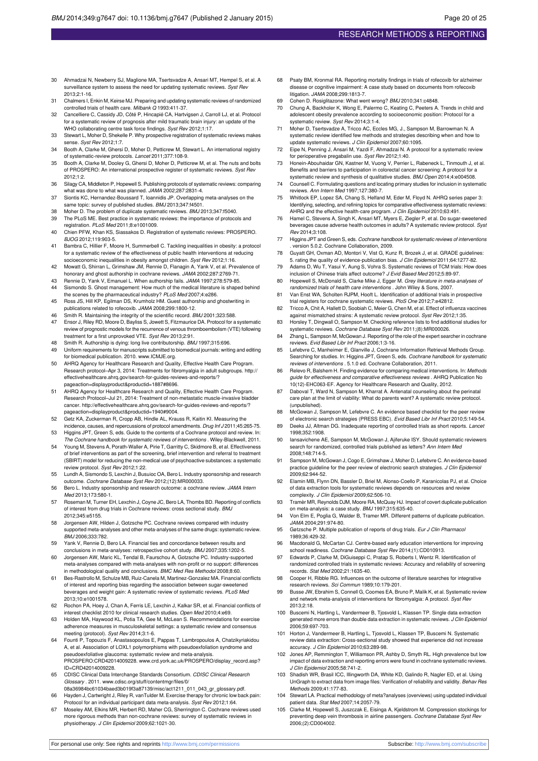- 30 Ahmadzai N, Newberry SJ, Maglione MA, Tsertsvadze A, Ansari MT, Hempel S, et al. A surveillance system to assess the need for updating systematic reviews. Syst Rev 2013;2:1-16.
- 31 Chalmers I, Enkin M, Keirse MJ. Preparing and updating systematic reviews of randomized controlled trials of health care. Milbank Q 1993:411-37.
- 32 Cancelliere C, Cassidy JD, Côté P, Hincapié CA, Hartvigsen J, Carroll LJ, et al. Protocol for a systematic review of prognosis after mild traumatic brain injury: an update of the WHO collaborating centre task force findings. Syst Rev 2012;1:17.
- 33 Stewart L, Moher D, Shekelle P. Why prospective registration of systematic reviews makes sense. Syst Rev 2012;1:7.
- 34 Booth A, Clarke M, Ghersi D, Moher D, Petticrew M, Stewart L. An international registry of systematic-review protocols. Lancet 2011;377:108-9.
- 35 Booth A, Clarke M, Dooley G, Ghersi D, Moher D, Petticrew M, et al. The nuts and bolts of PROSPERO: An international prospective register of systematic reviews. Syst Rev 2012;1:2.
- 36 Silagy CA, Middleton P, Hopewell S. Publishing protocols of systematic reviews: comparing what was done to what was planned. JAMA 2002;287:2831-4.
- 37 Siontis KC, Hernandez-Boussard T, Ioannidis JP. Overlapping meta-analyses on the same topic: survey of published studies. BMJ 2013;347:f4501
- 38 Moher D. The problem of duplicate systematic reviews. BMJ 2013;347:f5040.<br>39 The PLoS ME. Best practice in systematic reviews: the importance of protoco The PLoS ME. Best practice in systematic reviews: the importance of protocols and registration. PLoS Med 2011;8:e1001009.
- 40 Chien PFW, Khan KS, Siassakos D. Registration of systematic reviews: PROSPERO. BJOG 2012;119:903-5.
- 41 Bambra C, Hillier F, Moore H, Summerbell C. Tackling inequalities in obesity: a protocol for a systematic review of the effectiveness of public health interventions at reducing socioeconomic inequalities in obesity amongst children. Syst Rev 2012;1:16.
- 42 Mowatt G, Shirran L, Grimshaw JM, Rennie D, Flanagin A, Yank V, et al. Prevalence of honorary and ghost authorship in cochrane reviews. JAMA 2002;287:2769-71.
- 43 Rennie D, Yank V, Emanuel L. When authorship fails. JAMA 1997;278:579-85.
- 44 Sismondo S. Ghost management: How much of the medical literature is shaped behind the scenes by the pharmaceutical industry? PLoS Med 2007;4:e286.
- 45 Ross JS, Hill KP, Egilman DS, Krumholz HM. Guest authorship and ghostwriting in publications related to rofecoxib. JAMA 2008;299:1800-12.
- 46 Smith R. Maintaining the integrity of the scientific record. BMJ 2001;323:588.<br>47 Ensor J, Riley RD, Moore D, Bayliss S, Jowett S, Fitzmaurice DA. Protocol for a 47 Ensor J, Riley RD, Moore D, Bayliss S, Jowett S, Fitzmaurice DA. Protocol for a systematic review of prognostic models for the recurrence of venous thromboembolism (VTE) following treatment for a first unprovoked VTE. Syst Rev 2013;2:91.
- 48 Smith R. Authorship is dying: long live contributorship. BMJ 1997;315:696.<br>49 Uniform requirements for manuscripts submitted to biomedical iournals: writing
- Uniform requirements for manuscripts submitted to biomedical journals: writing and editing for biomedical publication. 2010. [www.ICMJE.org](http://www.ICMJE.org). 50 AHRQ Agency for Healthcare Research and Quality, Effective Health Care Program.
- Research protocol–Apr 3, 2014: Treatments for fibromyalgia in adult subgroups. [http://](http://effectivehealthcare.ahrq.gov/search-for-guides-reviews-and-reports/?pageaction=displayproduct&productid=1887#8696) [effectivehealthcare.ahrq.gov/search-for-guides-reviews-and-reports/?](http://effectivehealthcare.ahrq.gov/search-for-guides-reviews-and-reports/?pageaction=displayproduct&productid=1887#8696) action=displayproduct&productid=1887#8696.
- 51 AHRQ Agency for Healthcare Research and Quality, Effective Health Care Program. Research Protocol–Jul 21, 2014: Treatment of non-metastatic muscle-invasive bladder cancer. [http://effectivehealthcare.ahrq.gov/search-for-guides-reviews-and-reports/?](http://effectivehealthcare.ahrq.gov/search-for-guides-reviews-and-reports/?pageaction=displayproduct&productid=1940#9004) [pageaction=displayproduct&productid=1940#9004](http://effectivehealthcare.ahrq.gov/search-for-guides-reviews-and-reports/?pageaction=displayproduct&productid=1940#9004).
- 52 Getz KA, Zuckerman R, Cropp AB, Hindle AL, Krauss R, Kaitin KI. Measuring the incidence, causes, and repercussions of protocol amendments. Drug Inf J 2011;45:265-75.
- 53 Higgins JPT, Green S, eds. Guide to the contents of a Cochrane protocol and review. In: The Cochrane handbook for systematic reviews of interventions . Wiley-Blackwell, 2011.
- 54 Young M, Stevens A, Porath-Waller A, Pirie T, Garritty C, Skidmore B, et al. Effectiveness of brief interventions as part of the screening, brief intervention and referral to treatment (SBIRT) model for reducing the non-medical use of psychoactive substances: a systematic review protocol. Syst Rev 2012;1:22.
- 55 Lundh A, Sismondo S, Lexchin J, Busuioc OA, Bero L. Industry sponsorship and research outcome. Cochrane Database Syst Rev 2012;(12):MR000033.
- 56 Bero L. Industry sponsorship and research outcome: a cochrane review. JAMA Intern Med 2013;173:580-1.
- 57 Roseman M, Turner EH, Lexchin J, Coyne JC, Bero LA, Thombs BD. Reporting of conflicts of interest from drug trials in Cochrane reviews: cross sectional study. BMJ 2012;345:e5155.
- 58 Jorgensen AW, Hilden J, Gotzsche PC. Cochrane reviews compared with industry supported meta-analyses and other meta-analyses of the same drugs: systematic review. BMJ 2006;333:782.
- 59 Yank V, Rennie D, Bero LA. Financial ties and concordance between results and conclusions in meta-analyses: retrospective cohort study. BMJ 2007;335:1202-5.
- 60 Jorgensen AW, Maric KL, Tendal B, Faurschou A, Gotzsche PC. Industry-supported meta-analyses compared with meta-analyses with non-profit or no support: differences in methodological quality and conclusions. BMC Med Res Methodol 2008;8:60.
- 61 Bes-Rastrollo M, Schulze MB, Ruiz-Canela M, Martinez-Gonzalez MA. Financial conflicts of interest and reporting bias regarding the association between sugar-sweetene beverages and weight gain: A systematic review of systematic reviews. PLoS Med 2013;10:e1001578.
- 62 Rochon PA, Hoey J, Chan A, Ferris LE, Lexchin J, Kalkar SR, et al. Financial conflicts of
- interest checklist 2010 for clinical research studies. Open Med 2010;4:e69. 63 Holden MA, Haywood KL, Potia TA, Gee M, McLean S. Recommendations for exercise adherence measures in musculoskeletal settings: a systematic review and consensus meeting (protocol). Syst Rev 2014;3:1-6.
- 64 Founti P, Topouzis F, Anastasopoulos E, Pappas T, Lambropoulos A, Chatzikyriakidou A, et al. Association of LOXL1 polymorphisms with pseudoexfoliation syndrome and pseudoexfoliative glaucoma: systematic review and meta-analysis. PROSPERO:CRD42014009228. www.crd.vork.ac.uk/PROSPERO/display\_record.asp? [ID=CRD42014009228](http://www.crd.york.ac.uk/PROSPERO/display_record.asp?ID=CRD42014009228).
- 65 CDISC Clinical Data Interchange Standards Consortium. CDISC Clinical Research Glossary . 2011. [www.cdisc.org/stuff/contentmgr/files/0/](http://www.cdisc.org/stuff/contentmgr/files/0/08a36984bc61034baed3b019f3a87139/misc/act1211_011_043_gr_glossary.pdf) [08a36984bc61034baed3b019f3a87139/misc/act1211\\_011\\_043\\_gr\\_glossary.pdf](http://www.cdisc.org/stuff/contentmgr/files/0/08a36984bc61034baed3b019f3a87139/misc/act1211_011_043_gr_glossary.pdf).
- 66 Hayden J, Cartwright J, Riley R, vanTulder M. Exercise therapy for chronic low back pain: Protocol for an individual participant data meta-analysis. Syst Rev 2012;1:64.
- 67 Moseley AM, Elkins MR, Herbert RD, Maher CG, Sherrington C. Cochrane reviews used more rigorous methods than non-cochrane reviews: survey of systematic reviews in physiotherapy. J Clin Epidemiol 2009;62:1021-30.
- 68 Psaty BM, Kronmal RA. Reporting mortality findings in trials of rofecoxib for alzheimer disease or cognitive impairment: A case study based on documents from rofecoxib litigation. JAMA 2008;299:1813-7.
- 69 Cohen D. Rosiglitazone: What went wrong? BMJ 2010;341:c4848.
- 70 Chung A, Backholer K, Wong E, Palermo C, Keating C, Peeters A. Trends in child and adolescent obesity prevalence according to socioeconomic position: Protocol for a systematic review. Syst Rev 2014;3:1-4.
- 71 Moher D, Tsertsvadze A, Tricco AC, Eccles MG, J., Sampson M, Barrowman N. A systematic review identified few methods and strategies describing when and how to update systematic reviews. J Clin Epidemiol 2007;60:1095.
- Eipe N, Penning J, Ansari M, Yazdi F, Ahmadzai N. A protocol for a systematic review for perioperative pregabalin use. Syst Rev 2012;1:40.
- 73 Honein-Abouhaidar GN, Kastner M, Vuong V, Perrier L, Rabeneck L, Tinmouth J, et al. Benefits and barriers to participation in colorectal cancer screening: A protocol for a systematic review and synthesis of qualitative studies. BMJ Open 2014;4:e004508.
- 74 Counsell C. Formulating questions and locating primary studies for inclusion in systematic reviews. Ann Intern Med 1997;127:380-7.
- 75 Whitlock EP, Lopez SA, Chang S, Helfand M, Eder M, Floyd N. AHRQ series paper 3: Identifying, selecting, and refining topics for comparative effectiveness systematic reviews: AHRQ and the effective health-care program. J Clin Epidemiol 2010;63:491.
- 76 Hamel C, Stevens A, Singh K, Ansari MT, Myers E, Ziegler P, et al. Do sugar-sweetened beverages cause adverse health outcomes in adults? A systematic review protocol. Syst Rev 2014;3:108.
- 77 Higgins JPT and Green S, eds. Cochrane handbook for systematic reviews of interventions . version 5.0.2. Cochrane Collaboration, 2009.
- 78 Guyatt GH, Oxman AD, Montori V, Vist G, Kunz R, Brozek J, et al. GRADE guidelines: 5. rating the quality of evidence-publication bias. J Clin Epidemiol 2011;64:1277-82.
- 79 Adams D, Wu T, Yasui Y, Aung S, Vohra S. Systematic reviews of TCM trials: How does inclusion of Chinese trials affect outcome? J Evid Based Med 2012;5:89-97.
- 80 Hopewell S, McDonald S, Clarke Mike J, Egger M. Grey literature in meta-analyses of randomized trials of health care interventions . John Wiley & Sons, 2007.
- 81 Van Enst WA, Scholten RJPM, Hooft L. Identification of additional trials in prospective trial registers for cochrane systematic reviews. PloS One 2012;7:e42812.
- 82 Tricco A, Chit A, Hallett D, Soobiah C, Meier G, Chen M, et al. Effect of influenza va against mismatched strains: A systematic review protocol. Syst Rev 2012;1:35.
- 83 Horsley T, Dingwall O, Sampson M. Checking reference lists to find additional studies for systematic reviews. Cochrane Database Syst Rev 2011;(8):MR000026.
- 84 Zhang L, Sampson M, McGowan J. Reporting of the role of the expert searcher in cochrane reviews. Evid Based Libr Inf Pract 2006;1:3-16.
- Lefebvre C, Manheimer E, Glanville J, Cochrane Information Retrieval Methods Group. Searching for studies. In: Higgins JPT, Green S, eds. Cochrane handbook for systematic reviews of interventions . 5.1.0 ed. Cochrane Collaboration, 2011.
- 86 Relevo R, Balshem H. Finding evidence for comparing medical interventions. In: Methods guide for effectiveness and comparative effectiveness reviews . AHRQ Publication No 10(12)-EHC063-EF. Agency for Healthcare Research and Quality, 2012.
- 87 Daboval T, Ward N, Sampson M, Kharrat A. Antenatal counseling about the perinatal care plan at the limit of viability: What do parents want? A systematic review protocol. (unpublished).
- 88 McGowan J, Sampson M, Lefebvre C, An evidence based checklist for the peer review
- of electronic search strategies (PRESS EBC). Evid Based Libr Inf Pract 2010;5:149-54. 89 Deeks JJ, Altman DG. Inadequate reporting of controlled trials as short reports. Lancer 1998;352:1908.
- 90 Iansavichene AE, Sampson M, McGowan J, Ajiferuke ISY. Should systematic reviewers search for randomized, controlled trials published as letters? Ann Intern Med 2008;148:714-5.
- 91 Sampson M, McGowan J, Cogo E, Grimshaw J, Moher D, Lefebvre C. An evidence-based practice guideline for the peer review of electronic search strategies. J Clin Epidemiol .<br>2009:62:944-52.
- 92 Elamin MB, Flynn DN, Bassler D, Briel M, Alonso-Coello P, Karanicolas PJ, et al. Choice of data extraction tools for systematic reviews depends on resources and review complexity. J Clin Epidemiol 2009;62:506-10.
- 93 Tramèr MR, Reynolds DJM, Moore RA, McQuay HJ. Impact of covert duplicate publication on meta-analysis: a case study. BMJ 1997;315:635-40.
- 94 Von Elm E, Poglia G, Walder B, Tramer MR. Different patterns of duplicate publication. JAMA 2004;291:974-80.
- 95 Gøtzsche P. Multiple publication of reports of drug trials. Eur J Clin Pharmacol 1989;36:429-32.
- 96 Macdonald G, McCartan CJ. Centre-based early education interventions for improving school readiness. Cochrane Database Syst Rev 2014;(1):CD010913.
- 97 Edwards P, Clarke M, DiGuiseppi C, Pratap S, Roberts I, Wentz R. Identification of randomized controlled trials in systematic reviews: Accuracy and reliability of screening records. Stat Med 2002;21:1635-40.
- Cooper H, Ribble RG. Influences on the outcome of literature searches for integrative research reviews. Sci Commun 1989;10:179-201.
- 99 Busse JW, Ebrahim S, Connell G, Coomes EA, Bruno P, Malik K, et al. Systematic review and network meta-analysis of interventions for fibromyalgia: A protocol. Syst Rev 2013;2:18.
- 100 Buscemi N, Hartling L, Vandermeer B, Tjosvold L, Klassen TP. Single data extraction generated more errors than double data extraction in systematic reviews. J Clin Epidemiol 2006;59:697-703.
- Horton J, Vandermeer B, Hartling L, Tjosvold L, Klassen TP, Buscemi N. Systematic review data extraction: Cross-sectional study showed that experience did not increase accuracy. J Clin Epidemiol 2010;63:289-98.
- Jones AP, Remmington T, Williamson PR, Ashby D, Smyth RL. High prevalence but low impact of data extraction and reporting errors were found in cochrane systematic reviews. J Clin Epidemiol 2005;58:741-2.
- 103 Shadish WR, Brasil ICC, Illingworth DA, White KD, Galindo R, Nagler ED, et al. Using UnGraph to extract data from image files: Verification of reliability and validity. Behav Res Methods 2009;41:177-83.
- 104 Stewart LA. Practical methodology of meta?analyses (overviews) using updated individual patient data. Stat Med 2007;14:2057-79.
- 105 Clarke M, Hopewell S, Juszczak E, Eisinga A, Kjeldstrom M. Compression stockings for preventing deep vein thrombosis in airline passengers. Cochrane Database Syst Rev 2006;(2):CD004002.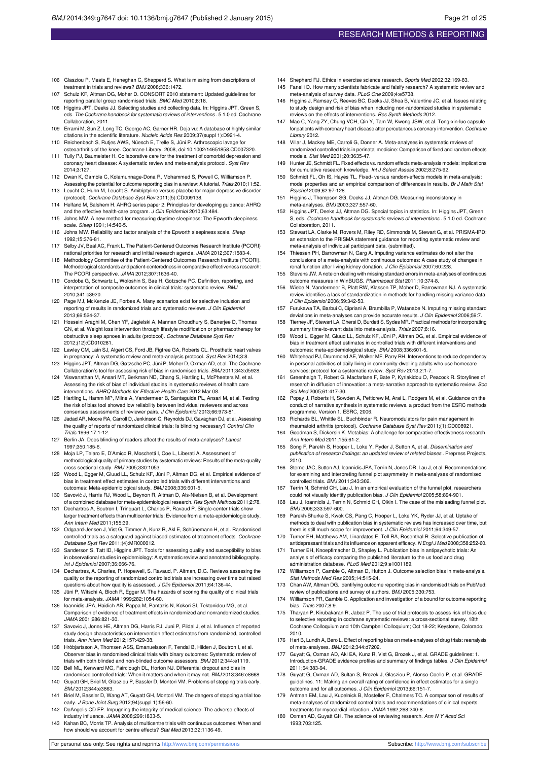- 106 Glasziou P, Meats E, Heneghan C, Shepperd S. What is missing from descriptions of treatment in trials and reviews? BMJ 2008;336:1472.
- 107 Schulz KF, Altman DG, Moher D. CONSORT 2010 statement: Updated guidelines for reporting parallel group randomised trials. BMC Med 2010;8:18.
- 108 Higgins JPT, Deeks JJ. Selecting studies and collecting data. In: Higgins JPT, Green S, eds. The Cochrane handbook for systematic reviews of interventions . 5.1.0 ed. Cochrane Collaboration, 2011.
- 109 Errami M, Sun Z, Long TC, George AC, Garner HR. Deja vu: A database of highly similar citations in the scientific literature. Nucleic Acids Res 2009;37(suppl 1):D921-4. 110 Reichenbach S, Rutjes AWS, Nüesch E, Trelle S, Jüni P. Arthroscopic lavage for
- osteoarthritis of the knee. Cochrane Library. 2008, doi:[10.1002/14651858.CD007320.](http://dx.doi.org/10.1002/14651858.CD007320) 111 Tully PJ, Baumeister H. Collaborative care for the treatment of comorbid depression and coronary heart disease: A systematic review and meta-analysis protocol. Syst Rev
- 2014;3:127. 112 Dwan K, Gamble C, Kolamunnage-Dona R, Mohammed S, Powell C, Williamson P.
- Assessing the potential for outcome reporting bias in a review: A tutorial. Trials 2010;11:52. 113 Leucht C, Huhn M, Leucht S. Amitriptyline versus placebo for major depressive disorder (protocol). Cochrane Database Syst Rev 2011;(5):CD009138.
- 114 Helfand M, Balshem H. AHRQ series paper 2: Principles for developing guidance: AHRQ<br>and the effective health-care program. *J Clin Epidemiol* 2010;63:484.
- 115 Johns MW. A new method for measuring daytime sleepiness: The Epworth sleepiness scale. Sleep 1991;14:540-5.
- 116 Johns MW. Reliability and factor analysis of the Epworth sleepiness scale. Sleep 1992;15:376-81.
- 117 Selby JV, Beal AC, Frank L. The Patient-Centered Outcomes Research Institute (PCORI) national priorities for research and initial research agenda. JAMA 2012;307:1583-4.
- 118 Methodology Committee of the Patient-Centered Outcomes Research Institute (PCORI). Methodological standards and patient-centeredness in comparative effectiveness research: The PCORI perspective. JAMA 2012;307:1636-40.
- 119 Cordoba G, Schwartz L, Woloshin S, Bae H, Gotzsche PC. Definition, reporting, and interpretation of composite outcomes in clinical trials: systematic review. BMJ 2010;341:c3920.
- 120 Page MJ, McKenzie JE, Forbes A. Many scenarios exist for selective inclusion and reporting of results in randomized trials and systematic reviews. J Clin Epidemiol 2013;66:524-37.
- 121 Hosseini Araghi M, Chen YF, Jagielski A, Mannan Choudhury S, Banerjee D, Thomas GN, et al. Weight loss intervention through lifestyle modification or pharmacotherapy for obstructive sleep apnoea in adults (protocol). Cochrane Database Syst Rev 2012;(12):CD010281.
- 122 Lawley CM, Lain SJ, Algert CS, Ford JB, Figtree GA, Roberts CL. Prosthetic heart valves in pregnancy: A systematic review and meta-analysis protocol. Syst Rev 2014;3:8. 123 Higgins JPT, Altman DG, Gøtzsche PC, Jüni P, Moher D, Oxman AD, et al. The Cochrane
- Collaboration's tool for assessing risk of bias in randomised trials. BMJ 2011;343:d5928. 124 Viswanathan M, Ansari MT, Berkman ND, Chang S, Hartling L, McPheeters M, et al. Assessing the risk of bias of individual studies in systematic reviews of health care
- interventions. AHRQ Methods for Effective Health Care 2012 Mar 08. 125 Hartling L, Hamm MP, Milne A, Vandermeer B, Santaguida PL, Ansari M, et al. Testing the risk of bias tool showed low reliability between individual reviewers and across
- consensus assessments of reviewer pairs. J Clin Epidemiol 2013;66:973-81.<br>126 Jadad AR, Moore RA, Carroll D, Jenkinson C, Reynolds DJ, Gavaghan DJ, et al. Assessing the quality of reports of randomized clinical trials: Is blinding necessary? Control Clin Trials 1996;17:1-12.
- 127 Berlin JA. Does blinding of readers affect the results of meta-analyses? Lancet 1997;350:185-6.
- 128 Moja LP, Telaro E, D'Amico R, Moschetti I, Coe L, Liberati A. Assessment of methodological quality of primary studies by systematic reviews: Results of the meta-quality cross sectional study. BMJ 2005;330:1053.
- 129 Wood L, Egger M, Gluud LL, Schulz KF, Jüni P, Altman DG, et al. Empirical evidence of bias in treatment effect estimates in controlled trials with different interventions and outcomes: Meta-epidemiological study. BMJ 2008;336:601-5.
- 130 Savović J, Harris RJ, Wood L, Beynon R, Altman D, Als-Nielsen B, et al. Development of a combined database for meta-epidemiological research. Res Synth Methods 2011;2:78.
- 131 Dechartres A, Boutron I, Trinquart L, Charles P, Ravaud P. Single-center trials show larger treatment effects than multicenter trials: Evidence from a meta-epidemiologic study. Ann Intern Med 2011;155:39.
- 132 Odgaard-Jensen J, Vist G, Timmer A, Kunz R, Akl E, Schünemann H, et al. Randomised controlled trials as a safeguard against biased estimates of treatment effects. *Cochrane*<br>*Database Syst Rev* 2011;(4):MR000012.
- 133 Sanderson S, Tatt ID, Higgins JPT. Tools for assessing quality and susceptibility to bias in observational studies in epidemiology: A systematic review and annotated bibliography. Int J Epidemiol 2007;36:666-76.
- 134 Dechartres, A. Charles, P. Hopewell, S. Ravaud, P. Altman, D.G. Reviews assessing the quality or the reporting of randomized controlled trials are increasing over time but raised
- questions about how quality is assessed. *J Clin Epidemiol* 2011;64:136-44.<br>135 Jüni P, Witschi A, Bloch R, Egger M. The hazards of scoring the quality of clinical trials for meta-analysis. JAMA 1999;282:1054-60.
- 136 Ioannidis JPA, Haidich AB, Pappa M, Pantazis N, Kokori SI, Tektonidou MG, et al. Comparison of evidence of treatment effects in randomized and nonrandomized studies. JAMA 2001;286:821-30.
- 137 Savovic J, Jones HE, Altman DG, Harris RJ, Juni P, Pildal J, et al. Influence of reported study design characteristics on intervention effect estimates from randomized, controlled trials. Ann Intern Med 2012;157:429-38.
- 138 Hróbjartsson A, Thomsen ASS, Emanuelsson F, Tendal B, Hilden J, Boutron I, et al. Observer bias in randomised clinical trials with binary outcomes: Systematic review of trials with both blinded and non-blinded outcome assessors. BMJ 2012;344:e1119.
- 139 Bell ML, Kenward MG, Fairclough DL, Horton NJ. Differential dropout and bias in randomised controlled trials: When it matters and when it may not. BMJ 2013;346:e8668. 140 Guyatt GH, Briel M, Glasziou P, Bassler D, Montori VM. Problems of stopping trials early.
- BMJ 2012;344:e3863. 141 Briel M, Bassler D, Wang AT, Guyatt GH, Montori VM. The dangers of stopping a trial too
- early. J Bone Joint Surg 2012;94(suppl 1):56-60. 142 DeAngelis CD FP. Impugning the integrity of medical science: The adverse effects of
- industry influence. JAMA 2008;299:1833-5.
- 143 Kahan BC, Morris TP. Analysis of multicentre trials with continuous outcomes: When and how should we account for centre effects? Stat Med 2013;32:1136-49.
- 144 Shephard RJ. Ethics in exercise science research. Sports Med 2002;32:169-83. 145 Fanelli D. How many scientists fabricate and falsify research? A systematic review and
- meta-analysis of survey data. PLoS One 2009;4:e5738. 146 Higgins J, Ramsay C, Reeves BC, Deeks JJ, Shea B, Valentine JC, et al. Issues relating
- to study design and risk of bias when including non-randomized studies in systematic reviews on the effects of interventions. Res Synth Methods 2012.
- 147 Mao C, Yang ZY, Chung VCH, Qin Y, Tam W, Kwong JSW, et al. Tong-xin-luo capsule for patients with coronary heart disease after percutaneous coronary intervention. Cochrane Library 2012.
- 148 Villar J, Mackey ME, Carroli G, Donner A. Meta-analyses in systematic reviews of randomized controlled trials in perinatal medicine: Comparison of fixed and random effects models. Stat Med 2001;20:3635-47.
- 149 Hunter JE, Schmidt FL. Fixed effects vs. random effects meta-analysis models: implications for cumulative research knowledge. Int J Select Assess 2002;8:275-92.
- Schmidt FL, Oh IS, Hayes TL. Fixed- versus random-effects models in meta-analysis: model properties and an empirical comparison of differences in results. Br J Math Stat Psychol 2009;62:97-128.
- 151 Higgins J, Thompson SG, Deeks JJ, Altman DG. Measuring inconsistency in meta-analyses. BMJ 2003;327:557-60.
- 152 Higgins JPT, Deeks JJ, Altman DG. Special topics in statistics. In: Higgins JPT, Green S, eds. Cochrane handbook for systematic reviews of interventions . 5.1.0 ed. Cochrane Collaboration, 2011.
- 153 Stewart LA, Clarke M, Rovers M, Riley RD, Simmonds M, Stewart G, et al. PRISMA-IPD: an extension to the PRISMA statement guidance for reporting systematic review and meta-analysis of individual participant data. (submitted).
- 154 Thiessen PH, Barrowman N, Garg A. Imputing variance estimates do not alter the conclusions of a meta-analysis with continuous outcomes: A case study of changes in renal function after living kidney donation. J Clin Epidemiol 2007;60:228.
- 155 Stevens JW. A note on dealing with missing standard errors in meta-analyses of continuous outcome measures in WinBUGS. Pharmaceut Stat 2011;10:374-8.
- 156 Wiebe N, Vandermeer B, Platt RW, Klassen TP, Moher D, Barrowman NJ. A systematic review identifies a lack of standardization in methods for handling missing variance data. J Clin Epidemiol 2006;59:342-53.
- 157 Furukawa TA, Barbui C, Cipriani A, Brambilla P, Watanabe N. Imputing missing standard deviations in meta-analyses can provide accurate results. J Clin Epidemiol 2006;59:7.
- 158 Tierney JF, Stewart LA, Ghersi D, Burdett S, Sydes MR. Practical methods for incorporating summary time-to-event data into meta-analysis. Trials 2007;8:16.
- 159 Wood L, Egger M, Gluud LL, Schulz KF, Jüni P, Altman DG, et al. Empirical evidence of bias in treatment effect estimates in controlled trials with different interventions and outcomes: meta-epidemiological study. BMJ 2008;336:601-5.
- 160 Whitehead PJ, Drummond AE, Walker MF, Parry RH. Interventions to reduce dependency in personal activities of daily living in community-dwelling adults who use homecare services: protocol for a systematic review. Syst Rev 2013;2:1-7.
- 161 Greenhalgh T, Robert G, Macfarlane F, Bate P, Kyriakidou O, Peacock R. Storylines of research in diffusion of innovation: a meta-narrative approach to systematic review. Soc Sci Med 2005;61:417-30.
- 162 Popay J, Roberts H, Sowden A, Petticrew M, Arai L, Rodgers M, et al. Guidance on the conduct of narrative synthesis in systematic reviews. a product from the ESRC methods programme. Version 1. ESRC, 2006.
- 163 Richards BL, Whittle SL, Buchbinder R. Neuromodulators for pain management in rheumatoid arthritis (protocol). Cochrane Database Syst Rev 2011;(1):CD008921.
- 164 Goodman S, Dickersin K. Metabias: A challenge for comparative effectiveness research. Ann Intern Med 2011;155:61-2.
- 165 Song F, Parekh S, Hooper L, Loke Y, Ryder J, Sutton A, et al. Dissemination and publication of research findings: an updated review of related biases . Prepress Projects, 2010.
- 166 Sterne JAC, Sutton AJ, Ioannidis JPA, Terrin N, Jones DR, Lau J, et al. Recommendations for examining and interpreting funnel plot asymmetry in meta-analyses of randomised controlled trials. BMJ 2011;343:302.
- 167 Terrin N, Schmid CH, Lau J. In an empirical evaluation of the funnel plot, researchers could not visually identify publication bias. J Clin Epidemiol 2005;58:894-901.
- 168 Lau J, Ioannidis J, Terrin N, Schmid CH, Olkin I. The case of the misleading funnel plot. BMJ 2006;333:597-600.
- 169 Parekh-Bhurke S, Kwok CS, Pang C, Hooper L, Loke YK, Ryder JJ, et al. Uptake of methods to deal with publication bias in systematic reviews has increased over time, but there is still much scope for improvement. J Clin Epidemiol 2011;64:349-57.
- 170 Turner EH, Matthews AM, Linardatos E, Tell RA, Rosenthal R. Selective publication of antidepressant trials and its influence on apparent efficacy. N Engl J Med 2008;358:252-60. Turner EH, Knoepflmacher D, Shapley L. Publication bias in antipsychotic trials: An
- analysis of efficacy comparing the published literature to the us food and drug administration database. PLoS Med 2012;9:e1001189.
- 172 Williamson P, Gamble C, Altman D, Hutton J. Outcome selection bias in meta-analysis. Stat Methods Med Res 2005;14:515-24.
- 173 Chan AW, Altman DG. Identifying outcome reporting bias in randomised trials on PubMed: review of publications and survey of authors. BMJ 2005;330:753. 174 Williamson PR, Gamble C. Application and investigation of a bound for outcome reporting
- bias. Trials 2007;8:9.
- 175 Tharyan P, Kirubakaran R, Jabez P. The use of trial protocols to assess risk of bias due to selective reporting in cochrane systematic reviews: a cross-sectional survey. 18th Cochrane Colloquium and 10th Campbell Colloquium; Oct 18-22; Keystone, Colorado; 2010.
- 176 Hart B, Lundh A, Bero L. Effect of reporting bias on meta-analyses of drug trials: reanalysis of meta-analyses. BMJ 2012;344:d7202.
- Guyatt G, Oxman AD, Akl EA, Kunz R, Vist G, Brozek J, et al. GRADE guidelines: 1. Introduction-GRADE evidence profiles and summary of findings tables. J Clin Epidemiol 2011;64:383-94.
- 178 Guyatt G, Oxman AD, Sultan S, Brozek J, Glasziou P, Alonso-Coello P, et al. GRADE guidelines. 11: Making an overall rating of confidence in effect estimates for a single outcome and for all outcomes. J Clin Epidemiol 2013;66:151-7.
- 179 Antman EM, Lau J, Kupelnick B, Mosteller F, Chalmers TC. A comparison of results of meta-analyses of randomized control trials and recommendations of clinical experts. treatments for myocardial infarction. JAMA 1992;268:240-8.
- 180 Oxman AD, Guyatt GH. The science of reviewing research. Ann N Y Acad Sci 1993;703:125.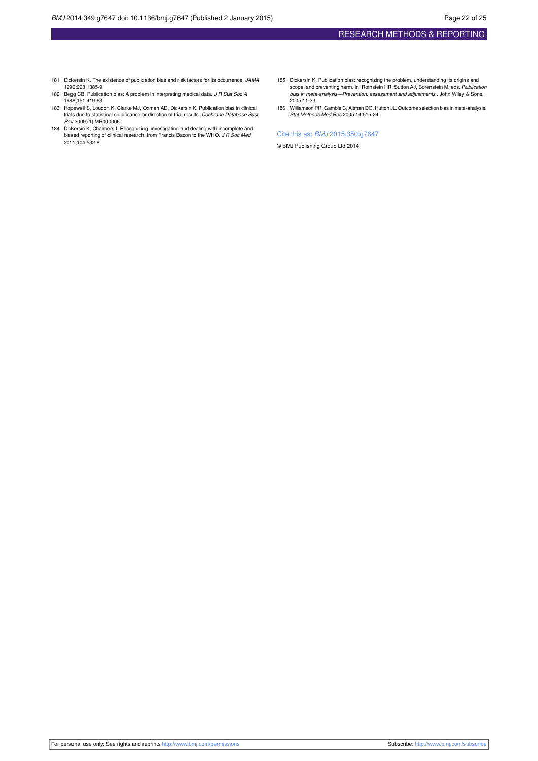- 181 Dickersin K. The existence of publication bias and risk factors for its occurrence. JAMA 1990;263:1385-9.
- 182 Begg CB. Publication bias: A problem in interpreting medical data. J R Stat Soc A 1988;151:419-63.
- 183 Hopewell S, Loudon K, Clarke MJ, Oxman AD, Dickersin K. Publication bias in clinical trials due to statistical significance or direction of trial results. Cochrane Database Syst Rev 2009;(1):MR000006.
- 184 Dickersin K, Chalmers I. Recognizing, investigating and dealing with incomplete and biased reporting of clinical research: from Francis Bacon to the WHO. J R Soc Med 2011;104:532-8.
- 185 Dickersin K. Publication bias: recognizing the problem, understanding its origins and<br>scope, and preventing harm. In: Rothstein HR, Sutton AJ, Borenstein M, eds. Publication bias in meta-analysis—Prevention, assessment and adjustments . John Wiley & Sons, 2005:11-33.
- 186 Williamson PR, Gamble C, Altman DG, Hutton JL. Outcome selection bias in meta-analysis. Stat Methods Med Res 2005;14:515-24.

#### Cite this as: BMJ 2015;350:g7647

© BMJ Publishing Group Ltd 2014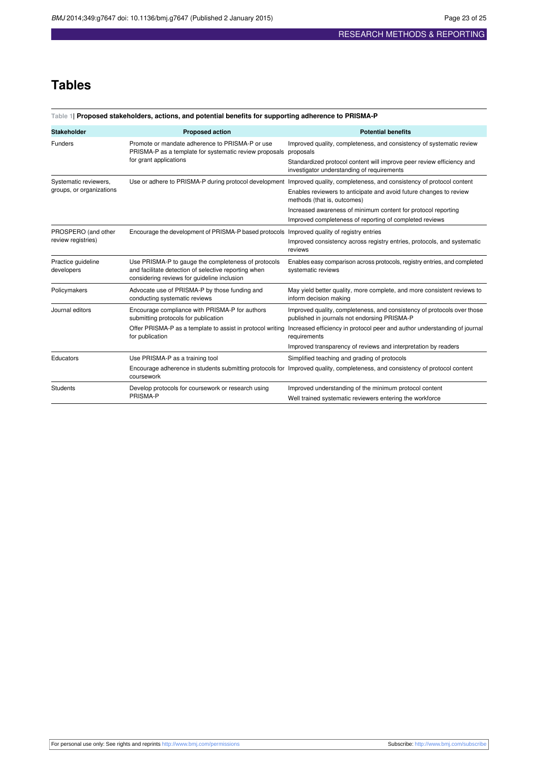# **Tables**

#### <span id="page-22-0"></span>**Table 1| Proposed stakeholders, actions, and potential benefits for supporting adherence to PRISMA-P**

| <b>Stakeholder</b>                                | <b>Proposed action</b>                                                                                                                                     | <b>Potential benefits</b>                                                                                                    |  |
|---------------------------------------------------|------------------------------------------------------------------------------------------------------------------------------------------------------------|------------------------------------------------------------------------------------------------------------------------------|--|
| Funders                                           | Promote or mandate adherence to PRISMA-P or use<br>PRISMA-P as a template for systematic review proposals                                                  | Improved quality, completeness, and consistency of systematic review<br>proposals                                            |  |
|                                                   | for grant applications                                                                                                                                     | Standardized protocol content will improve peer review efficiency and<br>investigator understanding of requirements          |  |
| Systematic reviewers,<br>groups, or organizations | Use or adhere to PRISMA-P during protocol development                                                                                                      | Improved quality, completeness, and consistency of protocol content                                                          |  |
|                                                   |                                                                                                                                                            | Enables reviewers to anticipate and avoid future changes to review<br>methods (that is, outcomes)                            |  |
|                                                   |                                                                                                                                                            | Increased awareness of minimum content for protocol reporting                                                                |  |
|                                                   |                                                                                                                                                            | Improved completeness of reporting of completed reviews                                                                      |  |
| PROSPERO (and other<br>review registries)         | Encourage the development of PRISMA-P based protocols                                                                                                      | Improved quality of registry entries                                                                                         |  |
|                                                   |                                                                                                                                                            | Improved consistency across registry entries, protocols, and systematic<br>reviews                                           |  |
| Practice guideline<br>developers                  | Use PRISMA-P to gauge the completeness of protocols<br>and facilitate detection of selective reporting when<br>considering reviews for guideline inclusion | Enables easy comparison across protocols, registry entries, and completed<br>systematic reviews                              |  |
| Policymakers                                      | Advocate use of PRISMA-P by those funding and<br>conducting systematic reviews                                                                             | May yield better quality, more complete, and more consistent reviews to<br>inform decision making                            |  |
| Journal editors                                   | Encourage compliance with PRISMA-P for authors<br>submitting protocols for publication                                                                     | Improved quality, completeness, and consistency of protocols over those<br>published in journals not endorsing PRISMA-P      |  |
|                                                   | Offer PRISMA-P as a template to assist in protocol writing<br>for publication                                                                              | Increased efficiency in protocol peer and author understanding of journal<br>requirements                                    |  |
|                                                   |                                                                                                                                                            | Improved transparency of reviews and interpretation by readers                                                               |  |
| Educators                                         | Use PRISMA-P as a training tool                                                                                                                            | Simplified teaching and grading of protocols                                                                                 |  |
|                                                   | coursework                                                                                                                                                 | Encourage adherence in students submitting protocols for Improved quality, completeness, and consistency of protocol content |  |
| <b>Students</b>                                   | Develop protocols for coursework or research using                                                                                                         | Improved understanding of the minimum protocol content                                                                       |  |
|                                                   | PRISMA-P                                                                                                                                                   | Well trained systematic reviewers entering the workforce                                                                     |  |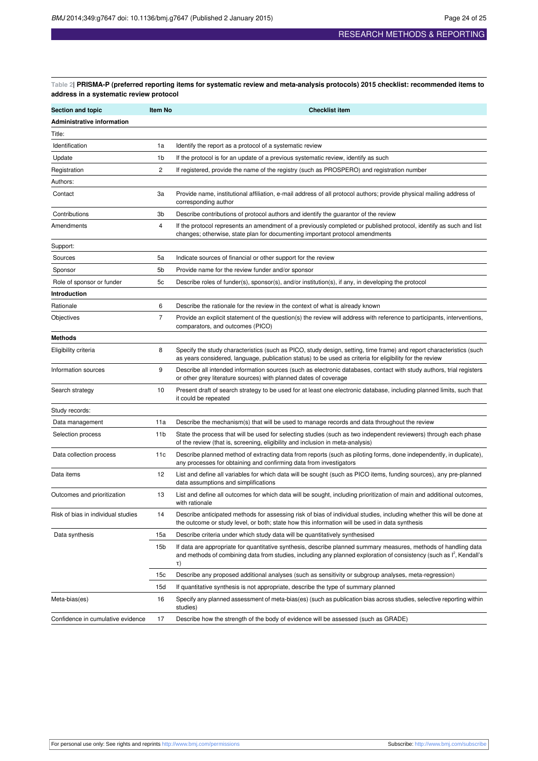<span id="page-23-0"></span>Table 2| PRISMA-P (preferred reporting items for systematic review and meta-analysis protocols) 2015 checklist: recommended items to **address in a systematic review protocol**

| <b>Section and topic</b>           | Item No         | <b>Checklist item</b>                                                                                                                                                                                                                            |  |
|------------------------------------|-----------------|--------------------------------------------------------------------------------------------------------------------------------------------------------------------------------------------------------------------------------------------------|--|
| <b>Administrative information</b>  |                 |                                                                                                                                                                                                                                                  |  |
| Title:                             |                 |                                                                                                                                                                                                                                                  |  |
| Identification                     | 1a              | Identify the report as a protocol of a systematic review                                                                                                                                                                                         |  |
| Update                             | 1b              | If the protocol is for an update of a previous systematic review, identify as such                                                                                                                                                               |  |
| 2<br>Registration                  |                 | If registered, provide the name of the registry (such as PROSPERO) and registration number                                                                                                                                                       |  |
| Authors:                           |                 |                                                                                                                                                                                                                                                  |  |
| Contact                            | За              | Provide name, institutional affiliation, e-mail address of all protocol authors; provide physical mailing address of<br>corresponding author                                                                                                     |  |
| Contributions                      | 3b              | Describe contributions of protocol authors and identify the guarantor of the review                                                                                                                                                              |  |
| Amendments                         | $\overline{4}$  | If the protocol represents an amendment of a previously completed or published protocol, identify as such and list<br>changes; otherwise, state plan for documenting important protocol amendments                                               |  |
| Support:                           |                 |                                                                                                                                                                                                                                                  |  |
| Sources                            | 5a              | Indicate sources of financial or other support for the review                                                                                                                                                                                    |  |
| Sponsor                            | 5b              | Provide name for the review funder and/or sponsor                                                                                                                                                                                                |  |
| Role of sponsor or funder          | 5c              | Describe roles of funder(s), sponsor(s), and/or institution(s), if any, in developing the protocol                                                                                                                                               |  |
| Introduction                       |                 |                                                                                                                                                                                                                                                  |  |
| Rationale                          | 6               | Describe the rationale for the review in the context of what is already known                                                                                                                                                                    |  |
| Objectives                         | $\overline{7}$  | Provide an explicit statement of the question(s) the review will address with reference to participants, interventions,<br>comparators, and outcomes (PICO)                                                                                      |  |
| Methods                            |                 |                                                                                                                                                                                                                                                  |  |
| Eligibility criteria               | 8               | Specify the study characteristics (such as PICO, study design, setting, time frame) and report characteristics (such<br>as years considered, language, publication status) to be used as criteria for eligibility for the review                 |  |
| Information sources                | 9               | Describe all intended information sources (such as electronic databases, contact with study authors, trial registers<br>or other grey literature sources) with planned dates of coverage                                                         |  |
| Search strategy                    | 10              | Present draft of search strategy to be used for at least one electronic database, including planned limits, such that<br>it could be repeated                                                                                                    |  |
| Study records:                     |                 |                                                                                                                                                                                                                                                  |  |
| Data management                    | 11a             | Describe the mechanism(s) that will be used to manage records and data throughout the review                                                                                                                                                     |  |
| Selection process                  | 11 <sub>b</sub> | State the process that will be used for selecting studies (such as two independent reviewers) through each phase<br>of the review (that is, screening, eligibility and inclusion in meta-analysis)                                               |  |
| Data collection process            | 11c             | Describe planned method of extracting data from reports (such as piloting forms, done independently, in duplicate),<br>any processes for obtaining and confirming data from investigators                                                        |  |
| Data items                         | 12              | List and define all variables for which data will be sought (such as PICO items, funding sources), any pre-planned<br>data assumptions and simplifications                                                                                       |  |
| Outcomes and prioritization        | 13              | List and define all outcomes for which data will be sought, including prioritization of main and additional outcomes,<br>with rationale                                                                                                          |  |
| Risk of bias in individual studies | 14              | Describe anticipated methods for assessing risk of bias of individual studies, including whether this will be done at<br>the outcome or study level, or both; state how this information will be used in data synthesis                          |  |
| Data synthesis                     | 15a             | Describe criteria under which study data will be quantitatively synthesised                                                                                                                                                                      |  |
|                                    | 15b             | If data are appropriate for quantitative synthesis, describe planned summary measures, methods of handling data<br>and methods of combining data from studies, including any planned exploration of consistency (such as $I^2$ , Kendall's<br>τ) |  |
|                                    | 15c             | Describe any proposed additional analyses (such as sensitivity or subgroup analyses, meta-regression)                                                                                                                                            |  |
|                                    | 15d             | If quantitative synthesis is not appropriate, describe the type of summary planned                                                                                                                                                               |  |
| Meta-bias(es)                      | 16              | Specify any planned assessment of meta-bias(es) (such as publication bias across studies, selective reporting within<br>studies)                                                                                                                 |  |
| Confidence in cumulative evidence  | 17              | Describe how the strength of the body of evidence will be assessed (such as GRADE)                                                                                                                                                               |  |